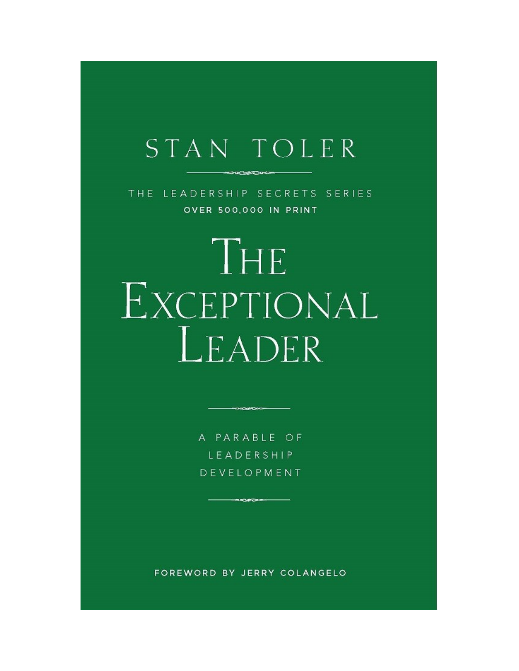# STAN TOLER

THE LEADERSHIP SECRETS SERIES OVER 500,000 IN PRINT

# THE EXCEPTIONAL LEADER

A PARABLE OF LEADERSHIP DEVELOPMENT

FOREWORD BY JERRY COLANGELO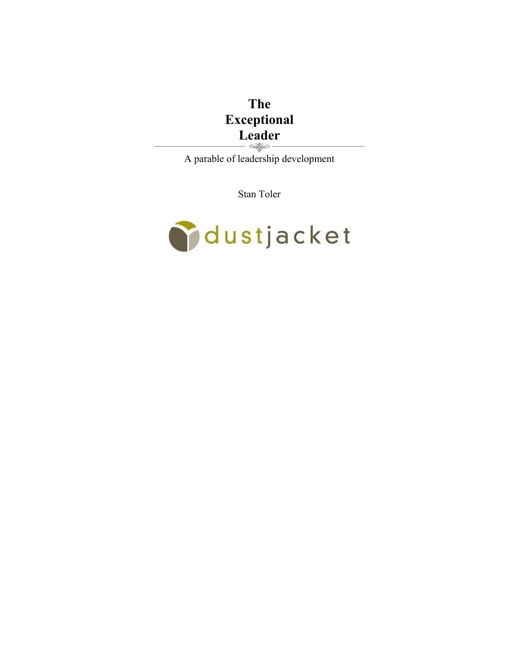# <span id="page-1-0"></span>**The Exceptional Leader**

A parable of leadership development

Stan Toler

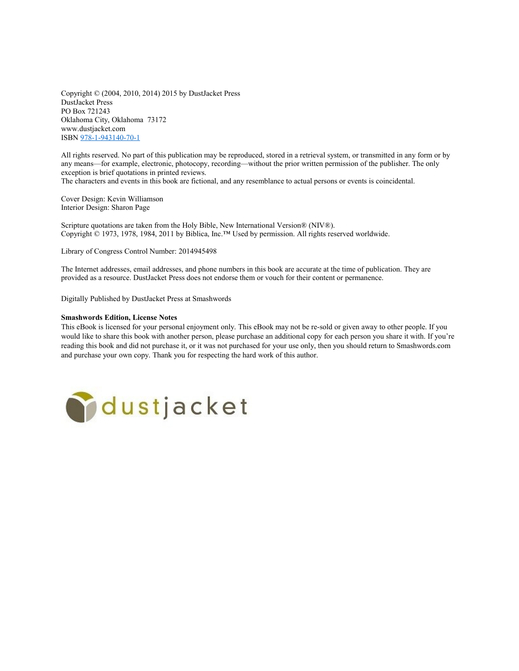<span id="page-2-0"></span>Copyright © (2004, 2010, 2014) 2015 by DustJacket Press DustJacket Press PO Box 721243 Oklahoma City, Oklahoma 73172 www.dustjacket.com ISBN [978-1-943140-70-1](https://www.myidentifiers.com/myaccount_manageisbns_titlereg?isbn=978-1-943140-70-1&icon_type=pending)

All rights reserved. No part of this publication may be reproduced, stored in a retrieval system, or transmitted in any form or by any means—for example, electronic, photocopy, recording—without the prior written permission of the publisher. The only exception is brief quotations in printed reviews.

The characters and events in this book are fictional, and any resemblance to actual persons or events is coincidental.

Cover Design: Kevin Williamson Interior Design: Sharon Page

Scripture quotations are taken from the Holy Bible, New International Version® (NIV®). Copyright © 1973, 1978, 1984, 2011 by Biblica, Inc.™ Used by permission. All rights reserved worldwide.

Library of Congress Control Number: 2014945498

The Internet addresses, email addresses, and phone numbers in this book are accurate at the time of publication. They are provided as a resource. DustJacket Press does not endorse them or vouch for their content or permanence.

Digitally Published by DustJacket Press at Smashwords

#### **Smashwords Edition, License Notes**

This eBook is licensed for your personal enjoyment only. This eBook may not be re-sold or given away to other people. If you would like to share this book with another person, please purchase an additional copy for each person you share it with. If you're reading this book and did not purchase it, or it was not purchased for your use only, then you should return to Smashwords.com and purchase your own copy. Thank you for respecting the hard work of this author.

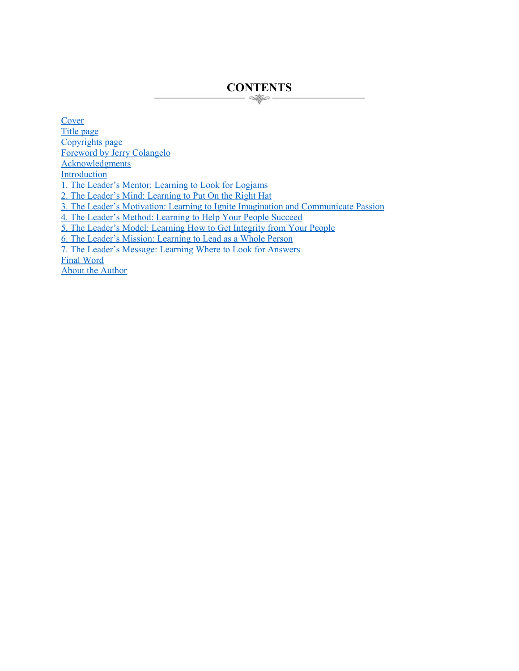# **CONTENTS**

**[Cover](#page-0-0)** [Title page](#page-1-0) [Copyrights page](#page-2-0) [Foreword by Jerry Colangelo](#page-4-0) **[Acknowledgments](#page-5-0)** [Introduction](#page-6-0)  [1. The Leader's Mentor: Learning to Look for Logjams](#page-7-0) 2. The Leader's Mind: Learning to Put On the Right Hat [3. The Leader's Motivation: Learning to Ignite Imagination and Communicate Passion](#page-18-0) [4. The Leader's Method: Learning to Help Your People Succeed](#page-24-0) [5. The Leader's Model: Learning How to Get Integrity from Your People](#page-30-0) [6. The Leader's Mission: Learning to Lead as a Whole Person](#page-35-0) [7. The Leader's Message: Learning Where to Look for Answers](#page-41-0) [Final Word](#page-41-0) [About the Author](#page-44-0)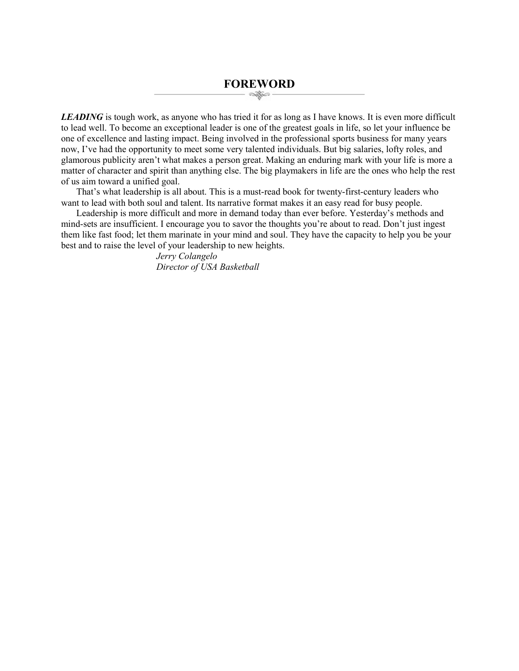# <span id="page-4-0"></span>**FOREWORD**

*LEADING* is tough work, as anyone who has tried it for as long as I have knows. It is even more difficult to lead well. To become an exceptional leader is one of the greatest goals in life, so let your influence be one of excellence and lasting impact. Being involved in the professional sports business for many years now, I've had the opportunity to meet some very talented individuals. But big salaries, lofty roles, and glamorous publicity aren't what makes a person great. Making an enduring mark with your life is more a matter of character and spirit than anything else. The big playmakers in life are the ones who help the rest of us aim toward a unified goal.

That's what leadership is all about. This is a must-read book for twenty-first-century leaders who want to lead with both soul and talent. Its narrative format makes it an easy read for busy people.

Leadership is more difficult and more in demand today than ever before. Yesterday's methods and mind-sets are insufficient. I encourage you to savor the thoughts you're about to read. Don't just ingest them like fast food; let them marinate in your mind and soul. They have the capacity to help you be your best and to raise the level of your leadership to new heights.

> *Jerry Colangelo Director of USA Basketball*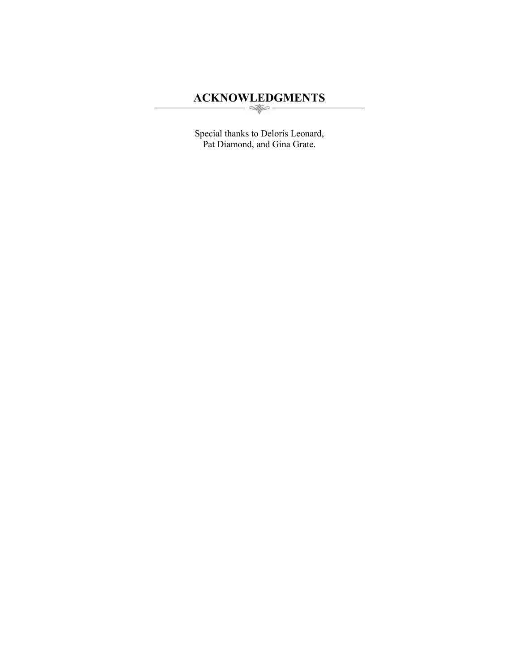# <span id="page-5-0"></span>ACKNOWLEDGMENTS

Special thanks to Deloris Leonard, Pat Diamond, and Gina Grate.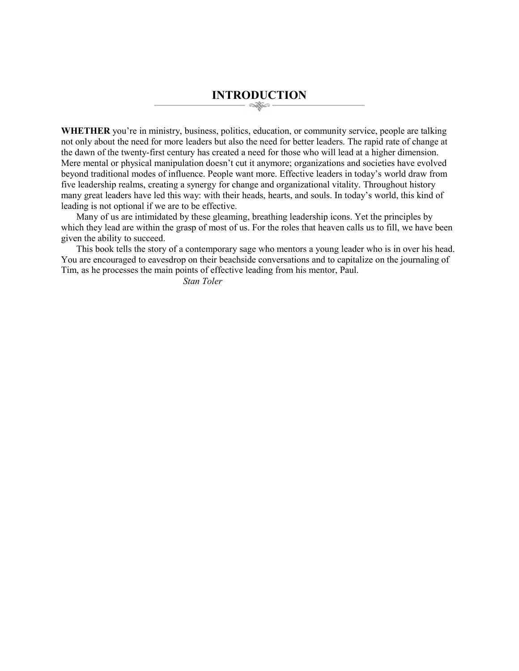# <span id="page-6-0"></span>**INTRODUCTION**

**WHETHER** you're in ministry, business, politics, education, or community service, people are talking not only about the need for more leaders but also the need for better leaders. The rapid rate of change at the dawn of the twenty-first century has created a need for those who will lead at a higher dimension. Mere mental or physical manipulation doesn't cut it anymore; organizations and societies have evolved beyond traditional modes of influence. People want more. Effective leaders in today's world draw from five leadership realms, creating a synergy for change and organizational vitality. Throughout history many great leaders have led this way: with their heads, hearts, and souls. In today's world, this kind of leading is not optional if we are to be effective.

Many of us are intimidated by these gleaming, breathing leadership icons. Yet the principles by which they lead are within the grasp of most of us. For the roles that heaven calls us to fill, we have been given the ability to succeed.

This book tells the story of a contemporary sage who mentors a young leader who is in over his head. You are encouraged to eavesdrop on their beachside conversations and to capitalize on the journaling of Tim, as he processes the main points of effective leading from his mentor, Paul.

*Stan Toler*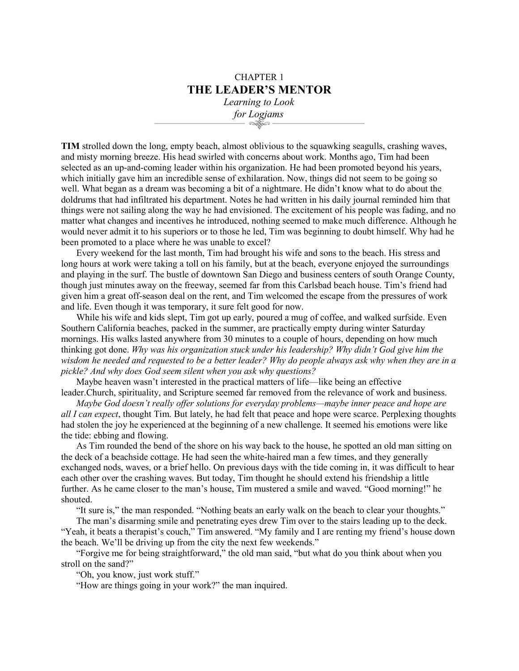# CHAPTER 1 **THE LEADER'S MENTOR**

<span id="page-7-0"></span>*Learning to Look for Logjams*

**TIM** strolled down the long, empty beach, almost oblivious to the squawking seagulls, crashing waves, and misty morning breeze. His head swirled with concerns about work. Months ago, Tim had been selected as an up-and-coming leader within his organization. He had been promoted beyond his years, which initially gave him an incredible sense of exhilaration. Now, things did not seem to be going so well. What began as a dream was becoming a bit of a nightmare. He didn't know what to do about the doldrums that had infiltrated his department. Notes he had written in his daily journal reminded him that things were not sailing along the way he had envisioned. The excitement of his people was fading, and no matter what changes and incentives he introduced, nothing seemed to make much difference. Although he would never admit it to his superiors or to those he led, Tim was beginning to doubt himself. Why had he been promoted to a place where he was unable to excel?

Every weekend for the last month, Tim had brought his wife and sons to the beach. His stress and long hours at work were taking a toll on his family, but at the beach, everyone enjoyed the surroundings and playing in the surf. The bustle of downtown San Diego and business centers of south Orange County, though just minutes away on the freeway, seemed far from this Carlsbad beach house. Tim's friend had given him a great off-season deal on the rent, and Tim welcomed the escape from the pressures of work and life. Even though it was temporary, it sure felt good for now.

While his wife and kids slept, Tim got up early, poured a mug of coffee, and walked surfside. Even Southern California beaches, packed in the summer, are practically empty during winter Saturday mornings. His walks lasted anywhere from 30 minutes to a couple of hours, depending on how much thinking got done. *Why was his organization stuck under his leadership? Why didn't God give him the wisdom he needed and requested to be a better leader? Why do people always ask why when they are in a pickle? And why does God seem silent when you ask why questions?*

Maybe heaven wasn't interested in the practical matters of life—like being an effective leader.Church, spirituality, and Scripture seemed far removed from the relevance of work and business.

*Maybe God doesn't really offer solutions for everyday problems—maybe inner peace and hope are all I can expect*, thought Tim. But lately, he had felt that peace and hope were scarce. Perplexing thoughts had stolen the joy he experienced at the beginning of a new challenge. It seemed his emotions were like the tide: ebbing and flowing.

As Tim rounded the bend of the shore on his way back to the house, he spotted an old man sitting on the deck of a beachside cottage. He had seen the white-haired man a few times, and they generally exchanged nods, waves, or a brief hello. On previous days with the tide coming in, it was difficult to hear each other over the crashing waves. But today, Tim thought he should extend his friendship a little further. As he came closer to the man's house, Tim mustered a smile and waved. "Good morning!" he shouted.

"It sure is," the man responded. "Nothing beats an early walk on the beach to clear your thoughts."

The man's disarming smile and penetrating eyes drew Tim over to the stairs leading up to the deck. "Yeah, it beats a therapist's couch," Tim answered. "My family and I are renting my friend's house down the beach. We'll be driving up from the city the next few weekends."

"Forgive me for being straightforward," the old man said, "but what do you think about when you stroll on the sand?"

"Oh, you know, just work stuff."

"How are things going in your work?" the man inquired.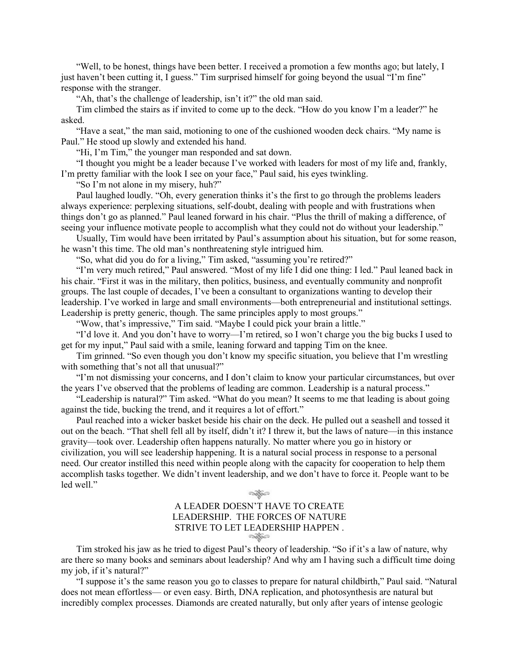"Well, to be honest, things have been better. I received a promotion a few months ago; but lately, I just haven't been cutting it, I guess." Tim surprised himself for going beyond the usual "I'm fine" response with the stranger.

"Ah, that's the challenge of leadership, isn't it?" the old man said.

Tim climbed the stairs as if invited to come up to the deck. "How do you know I'm a leader?" he asked.

"Have a seat," the man said, motioning to one of the cushioned wooden deck chairs. "My name is Paul." He stood up slowly and extended his hand.

"Hi, I'm Tim," the younger man responded and sat down.

"I thought you might be a leader because I've worked with leaders for most of my life and, frankly, I'm pretty familiar with the look I see on your face," Paul said, his eyes twinkling.

"So I'm not alone in my misery, huh?"

Paul laughed loudly. "Oh, every generation thinks it's the first to go through the problems leaders always experience: perplexing situations, self-doubt, dealing with people and with frustrations when things don't go as planned." Paul leaned forward in his chair. "Plus the thrill of making a difference, of seeing your influence motivate people to accomplish what they could not do without your leadership."

Usually, Tim would have been irritated by Paul's assumption about his situation, but for some reason, he wasn't this time. The old man's nonthreatening style intrigued him.

"So, what did you do for a living," Tim asked, "assuming you're retired?"

"I'm very much retired," Paul answered. "Most of my life I did one thing: I led." Paul leaned back in his chair. "First it was in the military, then politics, business, and eventually community and nonprofit groups. The last couple of decades, I've been a consultant to organizations wanting to develop their leadership. I've worked in large and small environments—both entrepreneurial and institutional settings. Leadership is pretty generic, though. The same principles apply to most groups."

"Wow, that's impressive," Tim said. "Maybe I could pick your brain a little."

"I'd love it. And you don't have to worry—I'm retired, so I won't charge you the big bucks I used to get for my input," Paul said with a smile, leaning forward and tapping Tim on the knee.

Tim grinned. "So even though you don't know my specific situation, you believe that I'm wrestling with something that's not all that unusual?"

"I'm not dismissing your concerns, and I don't claim to know your particular circumstances, but over the years I've observed that the problems of leading are common. Leadership is a natural process."

"Leadership is natural?" Tim asked. "What do you mean? It seems to me that leading is about going against the tide, bucking the trend, and it requires a lot of effort."

Paul reached into a wicker basket beside his chair on the deck. He pulled out a seashell and tossed it out on the beach. "That shell fell all by itself, didn't it? I threw it, but the laws of nature—in this instance gravity—took over. Leadership often happens naturally. No matter where you go in history or civilization, you will see leadership happening. It is a natural social process in response to a personal need. Our creator instilled this need within people along with the capacity for cooperation to help them accomplish tasks together. We didn't invent leadership, and we don't have to force it. People want to be led well."

# CONSOLO A LEADER DOESN'T HAVE TO CREATE LEADERSHIP. THE FORCES OF NATURE STRIVE TO LET LEADERSHIP HAPPEN . **BOOT**

Tim stroked his jaw as he tried to digest Paul's theory of leadership. "So if it's a law of nature, why are there so many books and seminars about leadership? And why am I having such a difficult time doing my job, if it's natural?"

"I suppose it's the same reason you go to classes to prepare for natural childbirth," Paul said. "Natural does not mean effortless— or even easy. Birth, DNA replication, and photosynthesis are natural but incredibly complex processes. Diamonds are created naturally, but only after years of intense geologic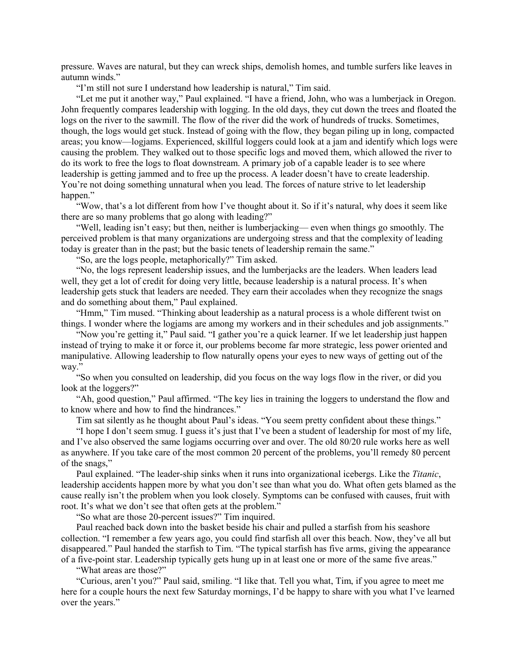pressure. Waves are natural, but they can wreck ships, demolish homes, and tumble surfers like leaves in autumn winds."

"I'm still not sure I understand how leadership is natural," Tim said.

"Let me put it another way," Paul explained. "I have a friend, John, who was a lumberjack in Oregon. John frequently compares leadership with logging. In the old days, they cut down the trees and floated the logs on the river to the sawmill. The flow of the river did the work of hundreds of trucks. Sometimes, though, the logs would get stuck. Instead of going with the flow, they began piling up in long, compacted areas; you know—logjams. Experienced, skillful loggers could look at a jam and identify which logs were causing the problem. They walked out to those specific logs and moved them, which allowed the river to do its work to free the logs to float downstream. A primary job of a capable leader is to see where leadership is getting jammed and to free up the process. A leader doesn't have to create leadership. You're not doing something unnatural when you lead. The forces of nature strive to let leadership happen."

"Wow, that's a lot different from how I've thought about it. So if it's natural, why does it seem like there are so many problems that go along with leading?"

"Well, leading isn't easy; but then, neither is lumberjacking— even when things go smoothly. The perceived problem is that many organizations are undergoing stress and that the complexity of leading today is greater than in the past; but the basic tenets of leadership remain the same."

"So, are the logs people, metaphorically?" Tim asked.

"No, the logs represent leadership issues, and the lumberjacks are the leaders. When leaders lead well, they get a lot of credit for doing very little, because leadership is a natural process. It's when leadership gets stuck that leaders are needed. They earn their accolades when they recognize the snags and do something about them," Paul explained.

"Hmm," Tim mused. "Thinking about leadership as a natural process is a whole different twist on things. I wonder where the logjams are among my workers and in their schedules and job assignments."

"Now you're getting it," Paul said. "I gather you're a quick learner. If we let leadership just happen instead of trying to make it or force it, our problems become far more strategic, less power oriented and manipulative. Allowing leadership to flow naturally opens your eyes to new ways of getting out of the way."

"So when you consulted on leadership, did you focus on the way logs flow in the river, or did you look at the loggers?"

"Ah, good question," Paul affirmed. "The key lies in training the loggers to understand the flow and to know where and how to find the hindrances."

Tim sat silently as he thought about Paul's ideas. "You seem pretty confident about these things."

"I hope I don't seem smug. I guess it's just that I've been a student of leadership for most of my life, and I've also observed the same logjams occurring over and over. The old 80/20 rule works here as well as anywhere. If you take care of the most common 20 percent of the problems, you'll remedy 80 percent of the snags,"

Paul explained. "The leader-ship sinks when it runs into organizational icebergs. Like the *Titanic*, leadership accidents happen more by what you don't see than what you do. What often gets blamed as the cause really isn't the problem when you look closely. Symptoms can be confused with causes, fruit with root. It's what we don't see that often gets at the problem."

"So what are those 20-percent issues?" Tim inquired.

Paul reached back down into the basket beside his chair and pulled a starfish from his seashore collection. "I remember a few years ago, you could find starfish all over this beach. Now, they've all but disappeared." Paul handed the starfish to Tim. "The typical starfish has five arms, giving the appearance of a five-point star. Leadership typically gets hung up in at least one or more of the same five areas."

"What areas are those?"

"Curious, aren't you?" Paul said, smiling. "I like that. Tell you what, Tim, if you agree to meet me here for a couple hours the next few Saturday mornings, I'd be happy to share with you what I've learned over the years."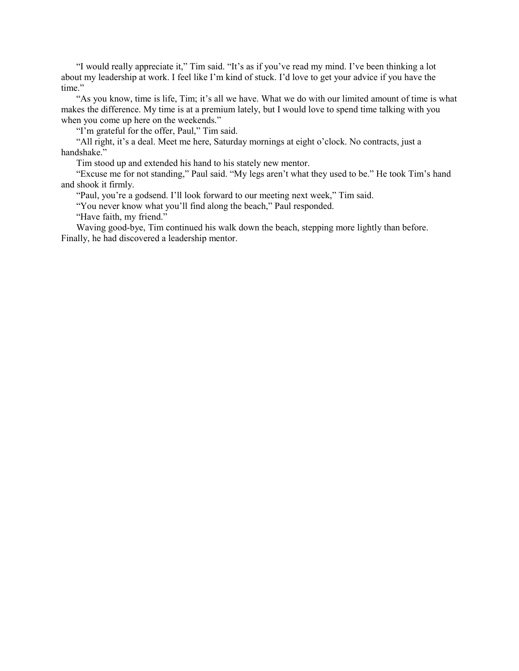"I would really appreciate it," Tim said. "It's as if you've read my mind. I've been thinking a lot about my leadership at work. I feel like I'm kind of stuck. I'd love to get your advice if you have the time."

"As you know, time is life, Tim; it's all we have. What we do with our limited amount of time is what makes the difference. My time is at a premium lately, but I would love to spend time talking with you when you come up here on the weekends."

"I'm grateful for the offer, Paul," Tim said.

"All right, it's a deal. Meet me here, Saturday mornings at eight o'clock. No contracts, just a handshake."

Tim stood up and extended his hand to his stately new mentor.

"Excuse me for not standing," Paul said. "My legs aren't what they used to be." He took Tim's hand and shook it firmly.

"Paul, you're a godsend. I'll look forward to our meeting next week," Tim said.

"You never know what you'll find along the beach," Paul responded.

"Have faith, my friend."

Waving good-bye, Tim continued his walk down the beach, stepping more lightly than before. Finally, he had discovered a leadership mentor.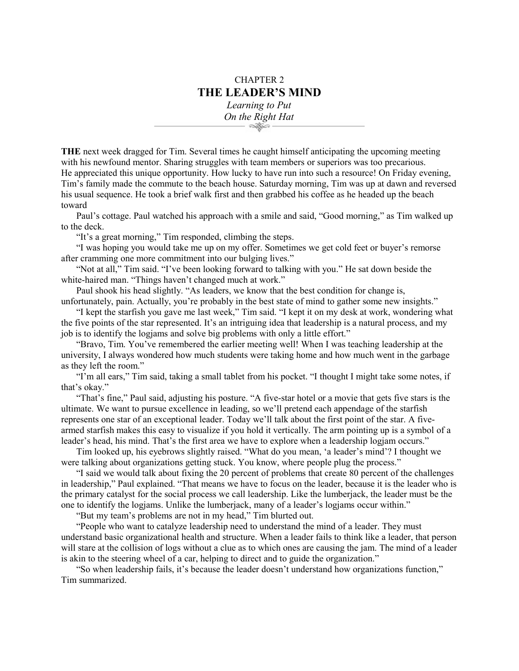# CHAPTER 2 **THE LEADER'S MIND**

<span id="page-11-0"></span>*Learning to Put On the Right Hat*

**THE** next week dragged for Tim. Several times he caught himself anticipating the upcoming meeting with his newfound mentor. Sharing struggles with team members or superiors was too precarious. He appreciated this unique opportunity. How lucky to have run into such a resource! On Friday evening, Tim's family made the commute to the beach house. Saturday morning, Tim was up at dawn and reversed his usual sequence. He took a brief walk first and then grabbed his coffee as he headed up the beach toward

Paul's cottage. Paul watched his approach with a smile and said, "Good morning," as Tim walked up to the deck.

"It's a great morning," Tim responded, climbing the steps.

"I was hoping you would take me up on my offer. Sometimes we get cold feet or buyer's remorse after cramming one more commitment into our bulging lives."

"Not at all," Tim said. "I've been looking forward to talking with you." He sat down beside the white-haired man. "Things haven't changed much at work."

Paul shook his head slightly. "As leaders, we know that the best condition for change is, unfortunately, pain. Actually, you're probably in the best state of mind to gather some new insights."

"I kept the starfish you gave me last week," Tim said. "I kept it on my desk at work, wondering what the five points of the star represented. It's an intriguing idea that leadership is a natural process, and my job is to identify the logjams and solve big problems with only a little effort."

"Bravo, Tim. You've remembered the earlier meeting well! When I was teaching leadership at the university, I always wondered how much students were taking home and how much went in the garbage as they left the room."

"I'm all ears," Tim said, taking a small tablet from his pocket. "I thought I might take some notes, if that's okay."

"That's fine," Paul said, adjusting his posture. "A five-star hotel or a movie that gets five stars is the ultimate. We want to pursue excellence in leading, so we'll pretend each appendage of the starfish represents one star of an exceptional leader. Today we'll talk about the first point of the star. A fivearmed starfish makes this easy to visualize if you hold it vertically. The arm pointing up is a symbol of a leader's head, his mind. That's the first area we have to explore when a leadership logjam occurs."

Tim looked up, his eyebrows slightly raised. "What do you mean, 'a leader's mind'? I thought we were talking about organizations getting stuck. You know, where people plug the process."

"I said we would talk about fixing the 20 percent of problems that create 80 percent of the challenges in leadership," Paul explained. "That means we have to focus on the leader, because it is the leader who is the primary catalyst for the social process we call leadership. Like the lumberjack, the leader must be the one to identify the logjams. Unlike the lumberjack, many of a leader's logjams occur within."

"But my team's problems are not in my head," Tim blurted out.

"People who want to catalyze leadership need to understand the mind of a leader. They must understand basic organizational health and structure. When a leader fails to think like a leader, that person will stare at the collision of logs without a clue as to which ones are causing the jam. The mind of a leader is akin to the steering wheel of a car, helping to direct and to guide the organization."

"So when leadership fails, it's because the leader doesn't understand how organizations function," Tim summarized.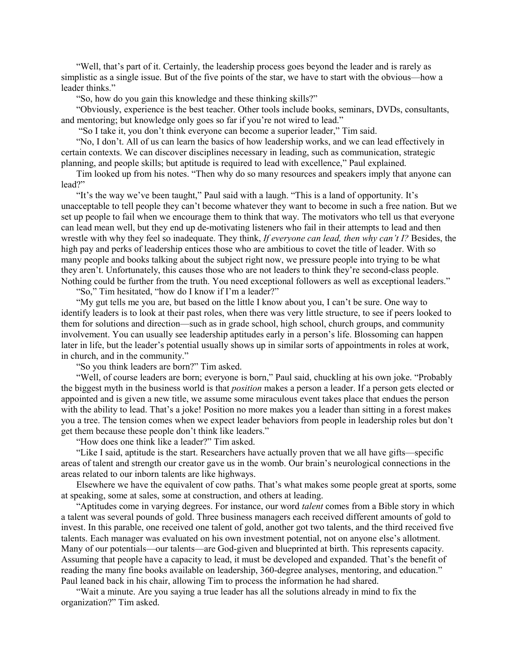"Well, that's part of it. Certainly, the leadership process goes beyond the leader and is rarely as simplistic as a single issue. But of the five points of the star, we have to start with the obvious—how a leader thinks."

"So, how do you gain this knowledge and these thinking skills?"

"Obviously, experience is the best teacher. Other tools include books, seminars, DVDs, consultants, and mentoring; but knowledge only goes so far if you're not wired to lead."

"So I take it, you don't think everyone can become a superior leader," Tim said.

"No, I don't. All of us can learn the basics of how leadership works, and we can lead effectively in certain contexts. We can discover disciplines necessary in leading, such as communication, strategic planning, and people skills; but aptitude is required to lead with excellence," Paul explained.

Tim looked up from his notes. "Then why do so many resources and speakers imply that anyone can lead?"

"It's the way we've been taught," Paul said with a laugh. "This is a land of opportunity. It's unacceptable to tell people they can't become whatever they want to become in such a free nation. But we set up people to fail when we encourage them to think that way. The motivators who tell us that everyone can lead mean well, but they end up de-motivating listeners who fail in their attempts to lead and then wrestle with why they feel so inadequate. They think, *If everyone can lead, then why can't I?* Besides, the high pay and perks of leadership entices those who are ambitious to covet the title of leader. With so many people and books talking about the subject right now, we pressure people into trying to be what they aren't. Unfortunately, this causes those who are not leaders to think they're second-class people. Nothing could be further from the truth. You need exceptional followers as well as exceptional leaders."

"So," Tim hesitated, "how do I know if I'm a leader?"

"My gut tells me you are, but based on the little I know about you, I can't be sure. One way to identify leaders is to look at their past roles, when there was very little structure, to see if peers looked to them for solutions and direction—such as in grade school, high school, church groups, and community involvement. You can usually see leadership aptitudes early in a person's life. Blossoming can happen later in life, but the leader's potential usually shows up in similar sorts of appointments in roles at work, in church, and in the community."

"So you think leaders are born?" Tim asked.

"Well, of course leaders are born; everyone is born," Paul said, chuckling at his own joke. "Probably the biggest myth in the business world is that *position* makes a person a leader. If a person gets elected or appointed and is given a new title, we assume some miraculous event takes place that endues the person with the ability to lead. That's a joke! Position no more makes you a leader than sitting in a forest makes you a tree. The tension comes when we expect leader behaviors from people in leadership roles but don't get them because these people don't think like leaders."

"How does one think like a leader?" Tim asked.

"Like I said, aptitude is the start. Researchers have actually proven that we all have gifts—specific areas of talent and strength our creator gave us in the womb. Our brain's neurological connections in the areas related to our inborn talents are like highways.

Elsewhere we have the equivalent of cow paths. That's what makes some people great at sports, some at speaking, some at sales, some at construction, and others at leading.

"Aptitudes come in varying degrees. For instance, our word *talent* comes from a Bible story in which a talent was several pounds of gold. Three business managers each received different amounts of gold to invest. In this parable, one received one talent of gold, another got two talents, and the third received five talents. Each manager was evaluated on his own investment potential, not on anyone else's allotment. Many of our potentials—our talents—are God-given and blueprinted at birth. This represents capacity. Assuming that people have a capacity to lead, it must be developed and expanded. That's the benefit of reading the many fine books available on leadership, 360-degree analyses, mentoring, and education." Paul leaned back in his chair, allowing Tim to process the information he had shared.

"Wait a minute. Are you saying a true leader has all the solutions already in mind to fix the organization?" Tim asked.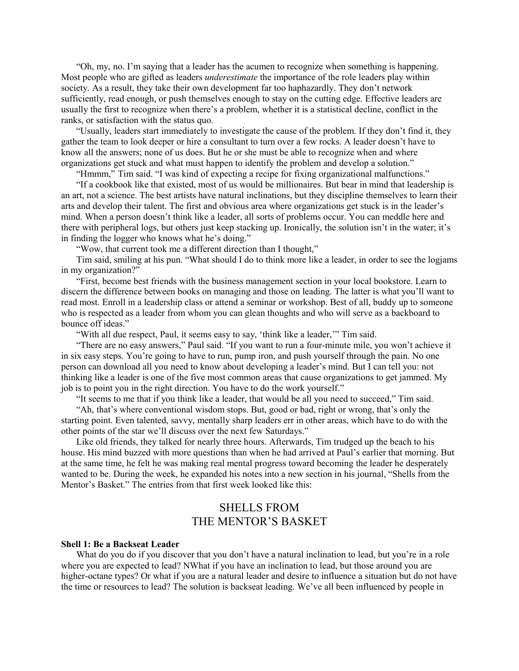"Oh, my, no. I'm saying that a leader has the acumen to recognize when something is happening. Most people who are gifted as leaders *underestimate* the importance of the role leaders play within society. As a result, they take their own development far too haphazardly. They don't network sufficiently, read enough, or push themselves enough to stay on the cutting edge. Effective leaders are usually the first to recognize when there's a problem, whether it is a statistical decline, conflict in the ranks, or satisfaction with the status quo.

"Usually, leaders start immediately to investigate the cause of the problem. If they don't find it, they gather the team to look deeper or hire a consultant to turn over a few rocks. A leader doesn't have to know all the answers; none of us does. But he or she must be able to recognize when and where organizations get stuck and what must happen to identify the problem and develop a solution."

"Hmmm," Tim said. "I was kind of expecting a recipe for fixing organizational malfunctions."

"If a cookbook like that existed, most of us would be millionaires. But bear in mind that leadership is an art, not a science. The best artists have natural inclinations, but they discipline themselves to learn their arts and develop their talent. The first and obvious area where organizations get stuck is in the leader's mind. When a person doesn't think like a leader, all sorts of problems occur. You can meddle here and there with peripheral logs, but others just keep stacking up. Ironically, the solution isn't in the water; it's in finding the logger who knows what he's doing."

"Wow, that current took me a different direction than I thought,"

Tim said, smiling at his pun. "What should I do to think more like a leader, in order to see the logjams in my organization?"

"First, become best friends with the business management section in your local bookstore. Learn to discern the difference between books on managing and those on leading. The latter is what you'll want to read most. Enroll in a leadership class or attend a seminar or workshop. Best of all, buddy up to someone who is respected as a leader from whom you can glean thoughts and who will serve as a backboard to bounce off ideas."

"With all due respect, Paul, it seems easy to say, 'think like a leader,'" Tim said.

"There are no easy answers," Paul said. "If you want to run a four-minute mile, you won't achieve it in six easy steps. You're going to have to run, pump iron, and push yourself through the pain. No one person can download all you need to know about developing a leader's mind. But I can tell you: not thinking like a leader is one of the five most common areas that cause organizations to get jammed. My job is to point you in the right direction. You have to do the work yourself."

"It seems to me that if you think like a leader, that would be all you need to succeed," Tim said.

"Ah, that's where conventional wisdom stops. But, good or bad, right or wrong, that's only the starting point. Even talented, savvy, mentally sharp leaders err in other areas, which have to do with the other points of the star we'll discuss over the next few Saturdays."

Like old friends, they talked for nearly three hours. Afterwards, Tim trudged up the beach to his house. His mind buzzed with more questions than when he had arrived at Paul's earlier that morning. But at the same time, he felt he was making real mental progress toward becoming the leader he desperately wanted to be. During the week, he expanded his notes into a new section in his journal, "Shells from the Mentor's Basket." The entries from that first week looked like this:

# SHELLS FROM THE MENTOR'S BASKET

#### **Shell 1: Be a Backseat Leader**

What do you do if you discover that you don't have a natural inclination to lead, but you're in a role where you are expected to lead? NWhat if you have an inclination to lead, but those around you are higher-octane types? Or what if you are a natural leader and desire to influence a situation but do not have the time or resources to lead? The solution is backseat leading. We've all been influenced by people in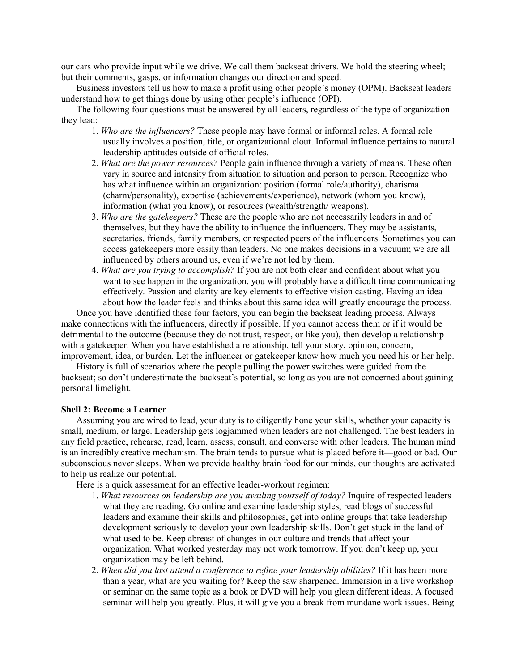our cars who provide input while we drive. We call them backseat drivers. We hold the steering wheel; but their comments, gasps, or information changes our direction and speed.

Business investors tell us how to make a profit using other people's money (OPM). Backseat leaders understand how to get things done by using other people's influence (OPI).

The following four questions must be answered by all leaders, regardless of the type of organization they lead:

- 1. *Who are the influencers?* These people may have formal or informal roles. A formal role usually involves a position, title, or organizational clout. Informal influence pertains to natural leadership aptitudes outside of official roles.
- 2. *What are the power resources?* People gain influence through a variety of means. These often vary in source and intensity from situation to situation and person to person. Recognize who has what influence within an organization: position (formal role/authority), charisma (charm/personality), expertise (achievements/experience), network (whom you know), information (what you know), or resources (wealth/strength/ weapons).
- 3. *Who are the gatekeepers?* These are the people who are not necessarily leaders in and of themselves, but they have the ability to influence the influencers. They may be assistants, secretaries, friends, family members, or respected peers of the influencers. Sometimes you can access gatekeepers more easily than leaders. No one makes decisions in a vacuum; we are all influenced by others around us, even if we're not led by them.
- 4. *What are you trying to accomplish?* If you are not both clear and confident about what you want to see happen in the organization, you will probably have a difficult time communicating effectively. Passion and clarity are key elements to effective vision casting. Having an idea about how the leader feels and thinks about this same idea will greatly encourage the process.

Once you have identified these four factors, you can begin the backseat leading process. Always make connections with the influencers, directly if possible. If you cannot access them or if it would be detrimental to the outcome (because they do not trust, respect, or like you), then develop a relationship with a gatekeeper. When you have established a relationship, tell your story, opinion, concern, improvement, idea, or burden. Let the influencer or gatekeeper know how much you need his or her help.

History is full of scenarios where the people pulling the power switches were guided from the backseat; so don't underestimate the backseat's potential, so long as you are not concerned about gaining personal limelight.

## **Shell 2: Become a Learner**

Assuming you are wired to lead, your duty is to diligently hone your skills, whether your capacity is small, medium, or large. Leadership gets logjammed when leaders are not challenged. The best leaders in any field practice, rehearse, read, learn, assess, consult, and converse with other leaders. The human mind is an incredibly creative mechanism. The brain tends to pursue what is placed before it—good or bad. Our subconscious never sleeps. When we provide healthy brain food for our minds, our thoughts are activated to help us realize our potential.

Here is a quick assessment for an effective leader-workout regimen:

- 1. *What resources on leadership are you availing yourself of today?* Inquire of respected leaders what they are reading. Go online and examine leadership styles, read blogs of successful leaders and examine their skills and philosophies, get into online groups that take leadership development seriously to develop your own leadership skills. Don't get stuck in the land of what used to be. Keep abreast of changes in our culture and trends that affect your organization. What worked yesterday may not work tomorrow. If you don't keep up, your organization may be left behind.
- 2. *When did you last attend a conference to refine your leadership abilities?* If it has been more than a year, what are you waiting for? Keep the saw sharpened. Immersion in a live workshop or seminar on the same topic as a book or DVD will help you glean different ideas. A focused seminar will help you greatly. Plus, it will give you a break from mundane work issues. Being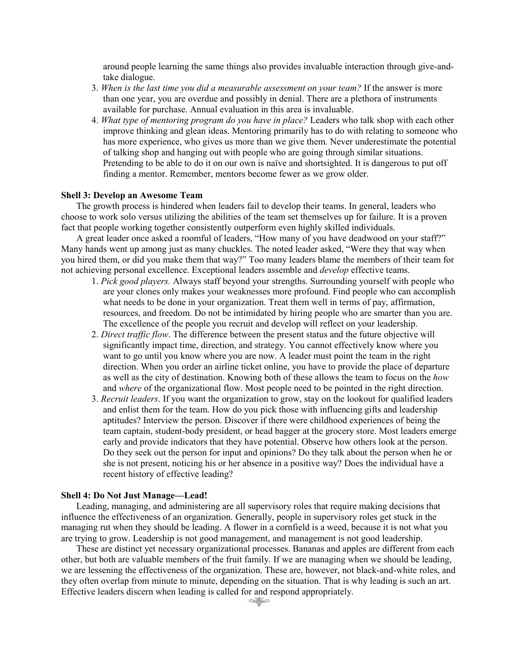around people learning the same things also provides invaluable interaction through give-andtake dialogue.

- 3. *When is the last time you did a measurable assessment on your team?* If the answer is more than one year, you are overdue and possibly in denial. There are a plethora of instruments available for purchase. Annual evaluation in this area is invaluable.
- 4. *What type of mentoring program do you have in place?* Leaders who talk shop with each other improve thinking and glean ideas. Mentoring primarily has to do with relating to someone who has more experience, who gives us more than we give them. Never underestimate the potential of talking shop and hanging out with people who are going through similar situations. Pretending to be able to do it on our own is naïve and shortsighted. It is dangerous to put off finding a mentor. Remember, mentors become fewer as we grow older.

## **Shell 3: Develop an Awesome Team**

The growth process is hindered when leaders fail to develop their teams. In general, leaders who choose to work solo versus utilizing the abilities of the team set themselves up for failure. It is a proven fact that people working together consistently outperform even highly skilled individuals.

A great leader once asked a roomful of leaders, "How many of you have deadwood on your staff?" Many hands went up among just as many chuckles. The noted leader asked, "Were they that way when you hired them, or did you make them that way?" Too many leaders blame the members of their team for not achieving personal excellence. Exceptional leaders assemble and *develop* effective teams.

- 1. *Pick good players.* Always staff beyond your strengths. Surrounding yourself with people who are your clones only makes your weaknesses more profound. Find people who can accomplish what needs to be done in your organization. Treat them well in terms of pay, affirmation, resources, and freedom. Do not be intimidated by hiring people who are smarter than you are. The excellence of the people you recruit and develop will reflect on your leadership.
- 2. *Direct traffic flow*. The difference between the present status and the future objective will significantly impact time, direction, and strategy. You cannot effectively know where you want to go until you know where you are now. A leader must point the team in the right direction. When you order an airline ticket online, you have to provide the place of departure as well as the city of destination. Knowing both of these allows the team to focus on the *how* and *where* of the organizational flow. Most people need to be pointed in the right direction.
- 3. *Recruit leaders*. If you want the organization to grow, stay on the lookout for qualified leaders and enlist them for the team. How do you pick those with influencing gifts and leadership aptitudes? Interview the person. Discover if there were childhood experiences of being the team captain, student-body president, or head bagger at the grocery store. Most leaders emerge early and provide indicators that they have potential. Observe how others look at the person. Do they seek out the person for input and opinions? Do they talk about the person when he or she is not present, noticing his or her absence in a positive way? Does the individual have a recent history of effective leading?

#### **Shell 4: Do Not Just Manage—Lead!**

Leading, managing, and administering are all supervisory roles that require making decisions that influence the effectiveness of an organization. Generally, people in supervisory roles get stuck in the managing rut when they should be leading. A flower in a cornfield is a weed, because it is not what you are trying to grow. Leadership is not good management, and management is not good leadership.

These are distinct yet necessary organizational processes. Bananas and apples are different from each other, but both are valuable members of the fruit family. If we are managing when we should be leading, we are lessening the effectiveness of the organization. These are, however, not black-and-white roles, and they often overlap from minute to minute, depending on the situation. That is why leading is such an art. Effective leaders discern when leading is called for and respond appropriately.

and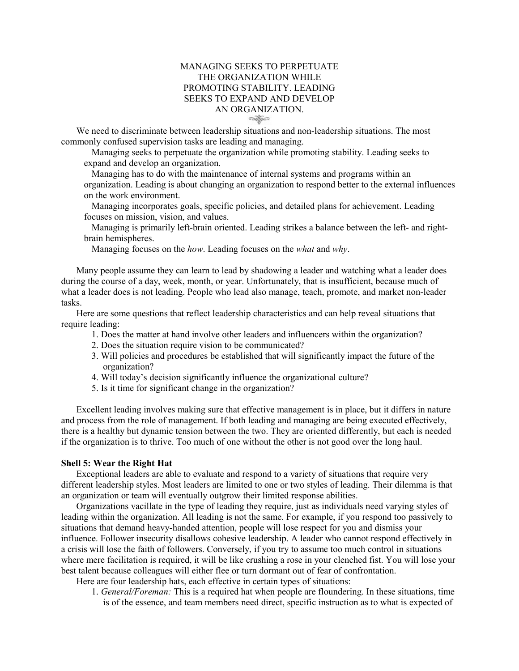# MANAGING SEEKS TO PERPETUATE THE ORGANIZATION WHILE PROMOTING STABILITY. LEADING SEEKS TO EXPAND AND DEVELOP AN ORGANIZATION.

We need to discriminate between leadership situations and non-leadership situations. The most commonly confused supervision tasks are leading and managing.

Managing seeks to perpetuate the organization while promoting stability. Leading seeks to expand and develop an organization.

Managing has to do with the maintenance of internal systems and programs within an organization. Leading is about changing an organization to respond better to the external influences on the work environment.

Managing incorporates goals, specific policies, and detailed plans for achievement. Leading focuses on mission, vision, and values.

Managing is primarily left-brain oriented. Leading strikes a balance between the left- and rightbrain hemispheres.

Managing focuses on the *how*. Leading focuses on the *what* and *why*.

Many people assume they can learn to lead by shadowing a leader and watching what a leader does during the course of a day, week, month, or year. Unfortunately, that is insufficient, because much of what a leader does is not leading. People who lead also manage, teach, promote, and market non-leader tasks.

Here are some questions that reflect leadership characteristics and can help reveal situations that require leading:

- 1. Does the matter at hand involve other leaders and influencers within the organization?
- 2. Does the situation require vision to be communicated?
- 3. Will policies and procedures be established that will significantly impact the future of the organization?
- 4. Will today's decision significantly influence the organizational culture?
- 5. Is it time for significant change in the organization?

Excellent leading involves making sure that effective management is in place, but it differs in nature and process from the role of management. If both leading and managing are being executed effectively, there is a healthy but dynamic tension between the two. They are oriented differently, but each is needed if the organization is to thrive. Too much of one without the other is not good over the long haul.

#### **Shell 5: Wear the Right Hat**

Exceptional leaders are able to evaluate and respond to a variety of situations that require very different leadership styles. Most leaders are limited to one or two styles of leading. Their dilemma is that an organization or team will eventually outgrow their limited response abilities.

Organizations vacillate in the type of leading they require, just as individuals need varying styles of leading within the organization. All leading is not the same. For example, if you respond too passively to situations that demand heavy-handed attention, people will lose respect for you and dismiss your influence. Follower insecurity disallows cohesive leadership. A leader who cannot respond effectively in a crisis will lose the faith of followers. Conversely, if you try to assume too much control in situations where mere facilitation is required, it will be like crushing a rose in your clenched fist. You will lose your best talent because colleagues will either flee or turn dormant out of fear of confrontation.

Here are four leadership hats, each effective in certain types of situations:

1. *General/Foreman:* This is a required hat when people are floundering. In these situations, time is of the essence, and team members need direct, specific instruction as to what is expected of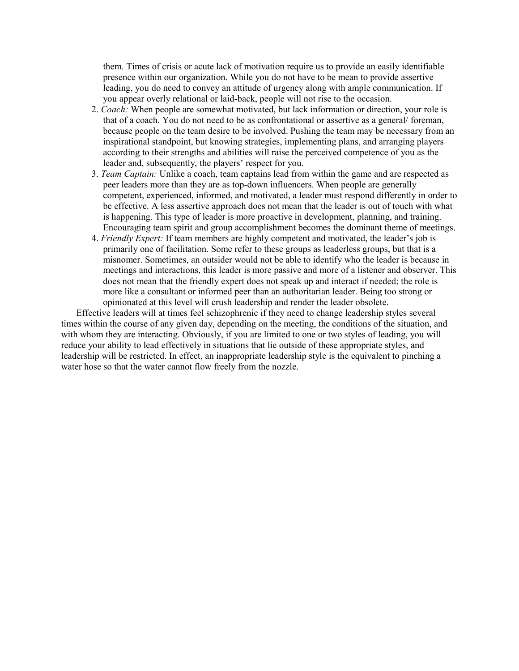them. Times of crisis or acute lack of motivation require us to provide an easily identifiable presence within our organization. While you do not have to be mean to provide assertive leading, you do need to convey an attitude of urgency along with ample communication. If you appear overly relational or laid-back, people will not rise to the occasion.

- 2. *Coach:* When people are somewhat motivated, but lack information or direction, your role is that of a coach. You do not need to be as confrontational or assertive as a general/ foreman, because people on the team desire to be involved. Pushing the team may be necessary from an inspirational standpoint, but knowing strategies, implementing plans, and arranging players according to their strengths and abilities will raise the perceived competence of you as the leader and, subsequently, the players' respect for you.
- 3. *Team Captain:* Unlike a coach, team captains lead from within the game and are respected as peer leaders more than they are as top-down influencers. When people are generally competent, experienced, informed, and motivated, a leader must respond differently in order to be effective. A less assertive approach does not mean that the leader is out of touch with what is happening. This type of leader is more proactive in development, planning, and training. Encouraging team spirit and group accomplishment becomes the dominant theme of meetings.
- 4. *Friendly Expert:* If team members are highly competent and motivated, the leader's job is primarily one of facilitation. Some refer to these groups as leaderless groups, but that is a misnomer. Sometimes, an outsider would not be able to identify who the leader is because in meetings and interactions, this leader is more passive and more of a listener and observer. This does not mean that the friendly expert does not speak up and interact if needed; the role is more like a consultant or informed peer than an authoritarian leader. Being too strong or opinionated at this level will crush leadership and render the leader obsolete.

Effective leaders will at times feel schizophrenic if they need to change leadership styles several times within the course of any given day, depending on the meeting, the conditions of the situation, and with whom they are interacting. Obviously, if you are limited to one or two styles of leading, you will reduce your ability to lead effectively in situations that lie outside of these appropriate styles, and leadership will be restricted. In effect, an inappropriate leadership style is the equivalent to pinching a water hose so that the water cannot flow freely from the nozzle.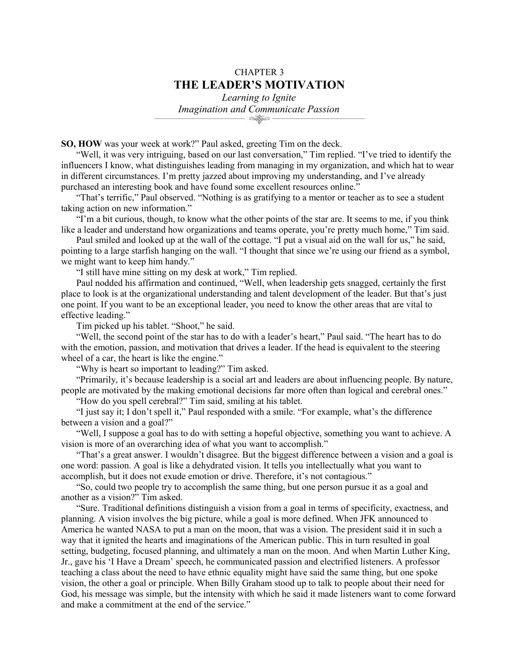# <span id="page-18-0"></span>CHAPTER 3 **THE LEADER'S MOTIVATION**

*Learning to Ignite Imagination and Communicate Passion*

**SO, HOW** was your week at work?" Paul asked, greeting Tim on the deck.

"Well, it was very intriguing, based on our last conversation," Tim replied. "I've tried to identify the influencers I know, what distinguishes leading from managing in my organization, and which hat to wear in different circumstances. I'm pretty jazzed about improving my understanding, and I've already purchased an interesting book and have found some excellent resources online."

"That's terrific," Paul observed. "Nothing is as gratifying to a mentor or teacher as to see a student taking action on new information."

"I'm a bit curious, though, to know what the other points of the star are. It seems to me, if you think like a leader and understand how organizations and teams operate, you're pretty much home," Tim said.

Paul smiled and looked up at the wall of the cottage. "I put a visual aid on the wall for us," he said, pointing to a large starfish hanging on the wall. "I thought that since we're using our friend as a symbol, we might want to keep him handy."

"I still have mine sitting on my desk at work," Tim replied.

Paul nodded his affirmation and continued, "Well, when leadership gets snagged, certainly the first place to look is at the organizational understanding and talent development of the leader. But that's just one point. If you want to be an exceptional leader, you need to know the other areas that are vital to effective leading."

Tim picked up his tablet. "Shoot," he said.

"Well, the second point of the star has to do with a leader's heart," Paul said. "The heart has to do with the emotion, passion, and motivation that drives a leader. If the head is equivalent to the steering wheel of a car, the heart is like the engine."

"Why is heart so important to leading?" Tim asked.

"Primarily, it's because leadership is a social art and leaders are about influencing people. By nature, people are motivated by the making emotional decisions far more often than logical and cerebral ones."

"How do you spell cerebral?" Tim said, smiling at his tablet.

"I just say it; I don't spell it," Paul responded with a smile. "For example, what's the difference between a vision and a goal?"

"Well, I suppose a goal has to do with setting a hopeful objective, something you want to achieve. A vision is more of an overarching idea of what you want to accomplish."

"That's a great answer. I wouldn't disagree. But the biggest difference between a vision and a goal is one word: passion. A goal is like a dehydrated vision. It tells you intellectually what you want to accomplish, but it does not exude emotion or drive. Therefore, it's not contagious."

"So, could two people try to accomplish the same thing, but one person pursue it as a goal and another as a vision?" Tim asked.

"Sure. Traditional definitions distinguish a vision from a goal in terms of specificity, exactness, and planning. A vision involves the big picture, while a goal is more defined. When JFK announced to America he wanted NASA to put a man on the moon, that was a vision. The president said it in such a way that it ignited the hearts and imaginations of the American public. This in turn resulted in goal setting, budgeting, focused planning, and ultimately a man on the moon. And when Martin Luther King, Jr., gave his 'I Have a Dream' speech, he communicated passion and electrified listeners. A professor teaching a class about the need to have ethnic equality might have said the same thing, but one spoke vision, the other a goal or principle. When Billy Graham stood up to talk to people about their need for God, his message was simple, but the intensity with which he said it made listeners want to come forward and make a commitment at the end of the service."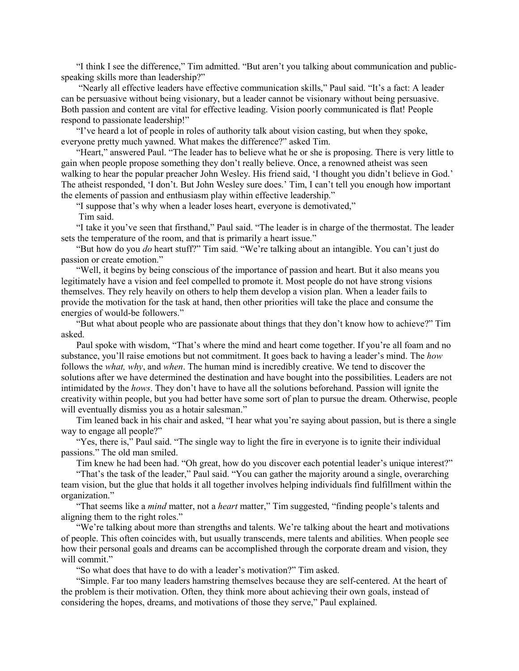"I think I see the difference," Tim admitted. "But aren't you talking about communication and publicspeaking skills more than leadership?"

 "Nearly all effective leaders have effective communication skills," Paul said. "It's a fact: A leader can be persuasive without being visionary, but a leader cannot be visionary without being persuasive. Both passion and content are vital for effective leading. Vision poorly communicated is flat! People respond to passionate leadership!"

"I've heard a lot of people in roles of authority talk about vision casting, but when they spoke, everyone pretty much yawned. What makes the difference?" asked Tim.

"Heart," answered Paul. "The leader has to believe what he or she is proposing. There is very little to gain when people propose something they don't really believe. Once, a renowned atheist was seen walking to hear the popular preacher John Wesley. His friend said, 'I thought you didn't believe in God.' The atheist responded, 'I don't. But John Wesley sure does.' Tim, I can't tell you enough how important the elements of passion and enthusiasm play within effective leadership."

"I suppose that's why when a leader loses heart, everyone is demotivated,"

Tim said.

"I take it you've seen that firsthand," Paul said. "The leader is in charge of the thermostat. The leader sets the temperature of the room, and that is primarily a heart issue."

"But how do you *do* heart stuff?" Tim said. "We're talking about an intangible. You can't just do passion or create emotion."

"Well, it begins by being conscious of the importance of passion and heart. But it also means you legitimately have a vision and feel compelled to promote it. Most people do not have strong visions themselves. They rely heavily on others to help them develop a vision plan. When a leader fails to provide the motivation for the task at hand, then other priorities will take the place and consume the energies of would-be followers."

"But what about people who are passionate about things that they don't know how to achieve?" Tim asked.

Paul spoke with wisdom, "That's where the mind and heart come together. If you're all foam and no substance, you'll raise emotions but not commitment. It goes back to having a leader's mind. The *how* follows the *what, why*, and *when*. The human mind is incredibly creative. We tend to discover the solutions after we have determined the destination and have bought into the possibilities. Leaders are not intimidated by the *hows*. They don't have to have all the solutions beforehand. Passion will ignite the creativity within people, but you had better have some sort of plan to pursue the dream. Otherwise, people will eventually dismiss you as a hotair salesman."

Tim leaned back in his chair and asked, "I hear what you're saying about passion, but is there a single way to engage all people?"

"Yes, there is," Paul said. "The single way to light the fire in everyone is to ignite their individual passions." The old man smiled.

Tim knew he had been had. "Oh great, how do you discover each potential leader's unique interest?"

"That's the task of the leader," Paul said. "You can gather the majority around a single, overarching team vision, but the glue that holds it all together involves helping individuals find fulfillment within the organization."

"That seems like a *mind* matter, not a *heart* matter," Tim suggested, "finding people's talents and aligning them to the right roles."

"We're talking about more than strengths and talents. We're talking about the heart and motivations of people. This often coincides with, but usually transcends, mere talents and abilities. When people see how their personal goals and dreams can be accomplished through the corporate dream and vision, they will commit."

"So what does that have to do with a leader's motivation?" Tim asked.

"Simple. Far too many leaders hamstring themselves because they are self-centered. At the heart of the problem is their motivation. Often, they think more about achieving their own goals, instead of considering the hopes, dreams, and motivations of those they serve," Paul explained.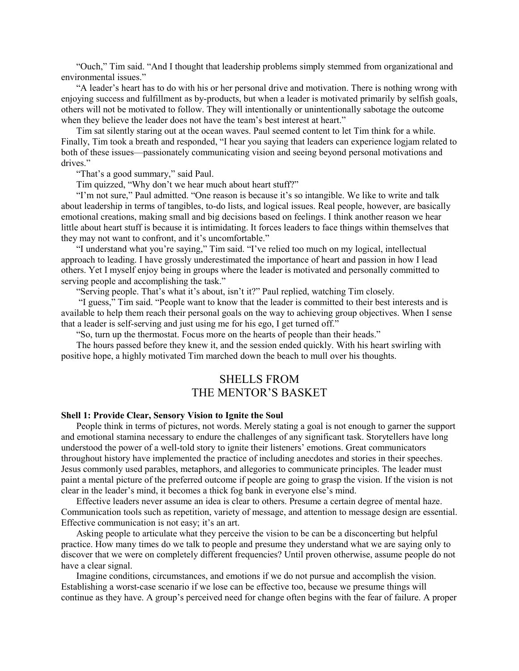"Ouch," Tim said. "And I thought that leadership problems simply stemmed from organizational and environmental issues."

"A leader's heart has to do with his or her personal drive and motivation. There is nothing wrong with enjoying success and fulfillment as by-products, but when a leader is motivated primarily by selfish goals, others will not be motivated to follow. They will intentionally or unintentionally sabotage the outcome when they believe the leader does not have the team's best interest at heart."

Tim sat silently staring out at the ocean waves. Paul seemed content to let Tim think for a while. Finally, Tim took a breath and responded, "I hear you saying that leaders can experience logjam related to both of these issues—passionately communicating vision and seeing beyond personal motivations and drives."

"That's a good summary," said Paul.

Tim quizzed, "Why don't we hear much about heart stuff?"

"I'm not sure," Paul admitted. "One reason is because it's so intangible. We like to write and talk about leadership in terms of tangibles, to-do lists, and logical issues. Real people, however, are basically emotional creations, making small and big decisions based on feelings. I think another reason we hear little about heart stuff is because it is intimidating. It forces leaders to face things within themselves that they may not want to confront, and it's uncomfortable."

"I understand what you're saying," Tim said. "I've relied too much on my logical, intellectual approach to leading. I have grossly underestimated the importance of heart and passion in how I lead others. Yet I myself enjoy being in groups where the leader is motivated and personally committed to serving people and accomplishing the task."

"Serving people. That's what it's about, isn't it?" Paul replied, watching Tim closely.

 "I guess," Tim said. "People want to know that the leader is committed to their best interests and is available to help them reach their personal goals on the way to achieving group objectives. When I sense that a leader is self-serving and just using me for his ego, I get turned off."

"So, turn up the thermostat. Focus more on the hearts of people than their heads."

The hours passed before they knew it, and the session ended quickly. With his heart swirling with positive hope, a highly motivated Tim marched down the beach to mull over his thoughts.

# SHELLS FROM THE MENTOR'S BASKET

# **Shell 1: Provide Clear, Sensory Vision to Ignite the Soul**

People think in terms of pictures, not words. Merely stating a goal is not enough to garner the support and emotional stamina necessary to endure the challenges of any significant task. Storytellers have long understood the power of a well-told story to ignite their listeners' emotions. Great communicators throughout history have implemented the practice of including anecdotes and stories in their speeches. Jesus commonly used parables, metaphors, and allegories to communicate principles. The leader must paint a mental picture of the preferred outcome if people are going to grasp the vision. If the vision is not clear in the leader's mind, it becomes a thick fog bank in everyone else's mind.

Effective leaders never assume an idea is clear to others. Presume a certain degree of mental haze. Communication tools such as repetition, variety of message, and attention to message design are essential. Effective communication is not easy; it's an art.

Asking people to articulate what they perceive the vision to be can be a disconcerting but helpful practice. How many times do we talk to people and presume they understand what we are saying only to discover that we were on completely different frequencies? Until proven otherwise, assume people do not have a clear signal.

Imagine conditions, circumstances, and emotions if we do not pursue and accomplish the vision. Establishing a worst-case scenario if we lose can be effective too, because we presume things will continue as they have. A group's perceived need for change often begins with the fear of failure. A proper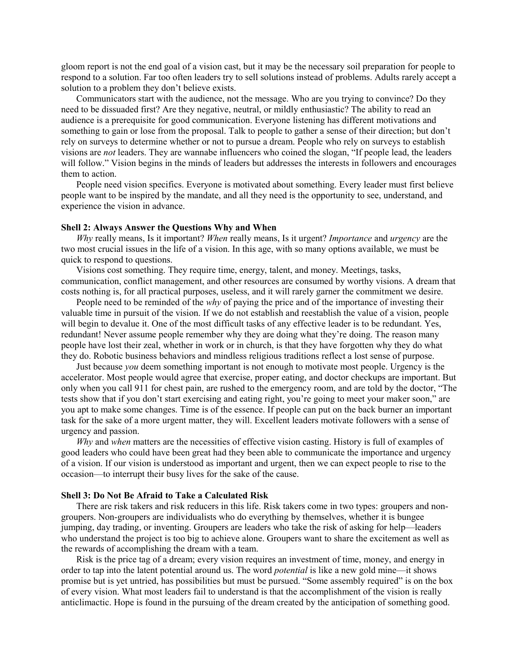gloom report is not the end goal of a vision cast, but it may be the necessary soil preparation for people to respond to a solution. Far too often leaders try to sell solutions instead of problems. Adults rarely accept a solution to a problem they don't believe exists.

Communicators start with the audience, not the message. Who are you trying to convince? Do they need to be dissuaded first? Are they negative, neutral, or mildly enthusiastic? The ability to read an audience is a prerequisite for good communication. Everyone listening has different motivations and something to gain or lose from the proposal. Talk to people to gather a sense of their direction; but don't rely on surveys to determine whether or not to pursue a dream. People who rely on surveys to establish visions are *not* leaders. They are wannabe influencers who coined the slogan, "If people lead, the leaders will follow." Vision begins in the minds of leaders but addresses the interests in followers and encourages them to action.

People need vision specifics. Everyone is motivated about something. Every leader must first believe people want to be inspired by the mandate, and all they need is the opportunity to see, understand, and experience the vision in advance.

#### **Shell 2: Always Answer the Questions Why and When**

*Why* really means, Is it important? *When* really means, Is it urgent? *Importance* and *urgency* are the two most crucial issues in the life of a vision. In this age, with so many options available, we must be quick to respond to questions.

Visions cost something. They require time, energy, talent, and money. Meetings, tasks, communication, conflict management, and other resources are consumed by worthy visions. A dream that costs nothing is, for all practical purposes, useless, and it will rarely garner the commitment we desire.

People need to be reminded of the *why* of paying the price and of the importance of investing their valuable time in pursuit of the vision. If we do not establish and reestablish the value of a vision, people will begin to devalue it. One of the most difficult tasks of any effective leader is to be redundant. Yes, redundant! Never assume people remember why they are doing what they're doing. The reason many people have lost their zeal, whether in work or in church, is that they have forgotten why they do what they do. Robotic business behaviors and mindless religious traditions reflect a lost sense of purpose.

Just because *you* deem something important is not enough to motivate most people. Urgency is the accelerator. Most people would agree that exercise, proper eating, and doctor checkups are important. But only when you call 911 for chest pain, are rushed to the emergency room, and are told by the doctor, "The tests show that if you don't start exercising and eating right, you're going to meet your maker soon," are you apt to make some changes. Time is of the essence. If people can put on the back burner an important task for the sake of a more urgent matter, they will. Excellent leaders motivate followers with a sense of urgency and passion.

*Why* and *when* matters are the necessities of effective vision casting. History is full of examples of good leaders who could have been great had they been able to communicate the importance and urgency of a vision. If our vision is understood as important and urgent, then we can expect people to rise to the occasion—to interrupt their busy lives for the sake of the cause.

#### **Shell 3: Do Not Be Afraid to Take a Calculated Risk**

There are risk takers and risk reducers in this life. Risk takers come in two types: groupers and nongroupers. Non-groupers are individualists who do everything by themselves, whether it is bungee jumping, day trading, or inventing. Groupers are leaders who take the risk of asking for help—leaders who understand the project is too big to achieve alone. Groupers want to share the excitement as well as the rewards of accomplishing the dream with a team.

Risk is the price tag of a dream; every vision requires an investment of time, money, and energy in order to tap into the latent potential around us. The word *potential* is like a new gold mine—it shows promise but is yet untried, has possibilities but must be pursued. "Some assembly required" is on the box of every vision. What most leaders fail to understand is that the accomplishment of the vision is really anticlimactic. Hope is found in the pursuing of the dream created by the anticipation of something good.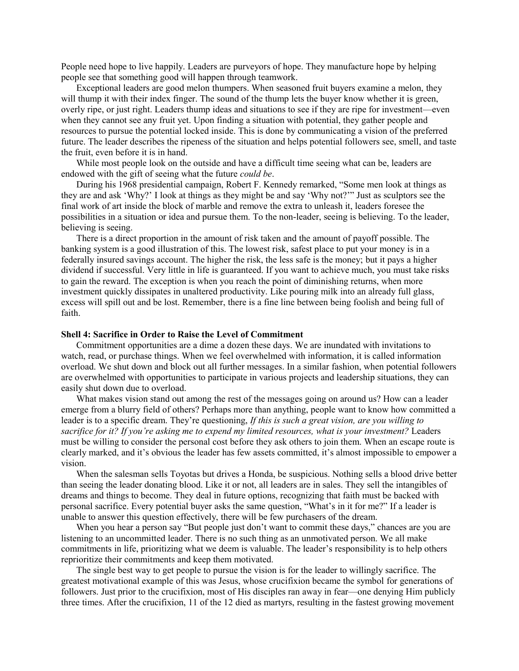People need hope to live happily. Leaders are purveyors of hope. They manufacture hope by helping people see that something good will happen through teamwork.

Exceptional leaders are good melon thumpers. When seasoned fruit buyers examine a melon, they will thump it with their index finger. The sound of the thump lets the buyer know whether it is green, overly ripe, or just right. Leaders thump ideas and situations to see if they are ripe for investment—even when they cannot see any fruit yet. Upon finding a situation with potential, they gather people and resources to pursue the potential locked inside. This is done by communicating a vision of the preferred future. The leader describes the ripeness of the situation and helps potential followers see, smell, and taste the fruit, even before it is in hand.

While most people look on the outside and have a difficult time seeing what can be, leaders are endowed with the gift of seeing what the future *could be*.

During his 1968 presidential campaign, Robert F. Kennedy remarked, "Some men look at things as they are and ask 'Why?' I look at things as they might be and say 'Why not?'" Just as sculptors see the final work of art inside the block of marble and remove the extra to unleash it, leaders foresee the possibilities in a situation or idea and pursue them. To the non-leader, seeing is believing. To the leader, believing is seeing.

There is a direct proportion in the amount of risk taken and the amount of payoff possible. The banking system is a good illustration of this. The lowest risk, safest place to put your money is in a federally insured savings account. The higher the risk, the less safe is the money; but it pays a higher dividend if successful. Very little in life is guaranteed. If you want to achieve much, you must take risks to gain the reward. The exception is when you reach the point of diminishing returns, when more investment quickly dissipates in unaltered productivity. Like pouring milk into an already full glass, excess will spill out and be lost. Remember, there is a fine line between being foolish and being full of faith.

#### **Shell 4: Sacrifice in Order to Raise the Level of Commitment**

Commitment opportunities are a dime a dozen these days. We are inundated with invitations to watch, read, or purchase things. When we feel overwhelmed with information, it is called information overload. We shut down and block out all further messages. In a similar fashion, when potential followers are overwhelmed with opportunities to participate in various projects and leadership situations, they can easily shut down due to overload.

What makes vision stand out among the rest of the messages going on around us? How can a leader emerge from a blurry field of others? Perhaps more than anything, people want to know how committed a leader is to a specific dream. They're questioning, *If this is such a great vision, are you willing to sacrifice for it? If you're asking me to expend my limited resources, what is your investment?* Leaders must be willing to consider the personal cost before they ask others to join them. When an escape route is clearly marked, and it's obvious the leader has few assets committed, it's almost impossible to empower a vision.

When the salesman sells Toyotas but drives a Honda, be suspicious. Nothing sells a blood drive better than seeing the leader donating blood. Like it or not, all leaders are in sales. They sell the intangibles of dreams and things to become. They deal in future options, recognizing that faith must be backed with personal sacrifice. Every potential buyer asks the same question, "What's in it for me?" If a leader is unable to answer this question effectively, there will be few purchasers of the dream.

When you hear a person say "But people just don't want to commit these days," chances are you are listening to an uncommitted leader. There is no such thing as an unmotivated person. We all make commitments in life, prioritizing what we deem is valuable. The leader's responsibility is to help others reprioritize their commitments and keep them motivated.

The single best way to get people to pursue the vision is for the leader to willingly sacrifice. The greatest motivational example of this was Jesus, whose crucifixion became the symbol for generations of followers. Just prior to the crucifixion, most of His disciples ran away in fear—one denying Him publicly three times. After the crucifixion, 11 of the 12 died as martyrs, resulting in the fastest growing movement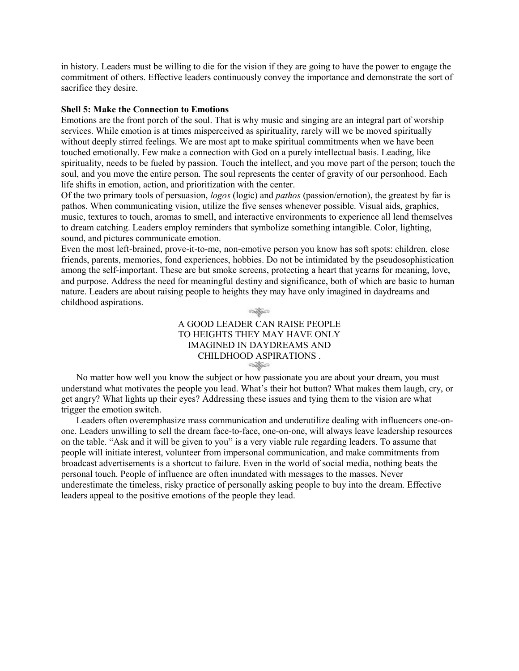in history. Leaders must be willing to die for the vision if they are going to have the power to engage the commitment of others. Effective leaders continuously convey the importance and demonstrate the sort of sacrifice they desire.

#### **Shell 5: Make the Connection to Emotions**

Emotions are the front porch of the soul. That is why music and singing are an integral part of worship services. While emotion is at times misperceived as spirituality, rarely will we be moved spiritually without deeply stirred feelings. We are most apt to make spiritual commitments when we have been touched emotionally. Few make a connection with God on a purely intellectual basis. Leading, like spirituality, needs to be fueled by passion. Touch the intellect, and you move part of the person; touch the soul, and you move the entire person. The soul represents the center of gravity of our personhood. Each life shifts in emotion, action, and prioritization with the center.

Of the two primary tools of persuasion, *logos* (logic) and *pathos* (passion/emotion), the greatest by far is pathos. When communicating vision, utilize the five senses whenever possible. Visual aids, graphics, music, textures to touch, aromas to smell, and interactive environments to experience all lend themselves to dream catching. Leaders employ reminders that symbolize something intangible. Color, lighting, sound, and pictures communicate emotion.

Even the most left-brained, prove-it-to-me, non-emotive person you know has soft spots: children, close friends, parents, memories, fond experiences, hobbies. Do not be intimidated by the pseudosophistication among the self-important. These are but smoke screens, protecting a heart that yearns for meaning, love, and purpose. Address the need for meaningful destiny and significance, both of which are basic to human nature. Leaders are about raising people to heights they may have only imagined in daydreams and childhood aspirations.

CONSOLO A GOOD LEADER CAN RAISE PEOPLE TO HEIGHTS THEY MAY HAVE ONLY IMAGINED IN DAYDREAMS AND CHILDHOOD ASPIRATIONS .

No matter how well you know the subject or how passionate you are about your dream, you must understand what motivates the people you lead. What's their hot button? What makes them laugh, cry, or get angry? What lights up their eyes? Addressing these issues and tying them to the vision are what trigger the emotion switch.

Leaders often overemphasize mass communication and underutilize dealing with influencers one-onone. Leaders unwilling to sell the dream face-to-face, one-on-one, will always leave leadership resources on the table. "Ask and it will be given to you" is a very viable rule regarding leaders. To assume that people will initiate interest, volunteer from impersonal communication, and make commitments from broadcast advertisements is a shortcut to failure. Even in the world of social media, nothing beats the personal touch. People of influence are often inundated with messages to the masses. Never underestimate the timeless, risky practice of personally asking people to buy into the dream. Effective leaders appeal to the positive emotions of the people they lead.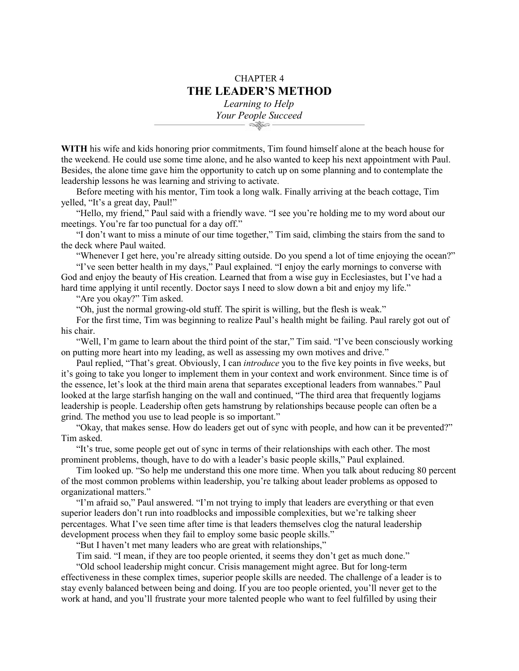# CHAPTER 4 **THE LEADER'S METHOD**

*Learning to Help Your People Succeed*

<span id="page-24-0"></span>**WITH** his wife and kids honoring prior commitments, Tim found himself alone at the beach house for the weekend. He could use some time alone, and he also wanted to keep his next appointment with Paul. Besides, the alone time gave him the opportunity to catch up on some planning and to contemplate the leadership lessons he was learning and striving to activate.

Before meeting with his mentor, Tim took a long walk. Finally arriving at the beach cottage, Tim yelled, "It's a great day, Paul!"

"Hello, my friend," Paul said with a friendly wave. "I see you're holding me to my word about our meetings. You're far too punctual for a day off."

"I don't want to miss a minute of our time together," Tim said, climbing the stairs from the sand to the deck where Paul waited.

"Whenever I get here, you're already sitting outside. Do you spend a lot of time enjoying the ocean?"

"I've seen better health in my days," Paul explained. "I enjoy the early mornings to converse with God and enjoy the beauty of His creation. Learned that from a wise guy in Ecclesiastes, but I've had a hard time applying it until recently. Doctor says I need to slow down a bit and enjoy my life."

"Are you okay?" Tim asked.

"Oh, just the normal growing-old stuff. The spirit is willing, but the flesh is weak."

For the first time, Tim was beginning to realize Paul's health might be failing. Paul rarely got out of his chair.

"Well, I'm game to learn about the third point of the star," Tim said. "I've been consciously working on putting more heart into my leading, as well as assessing my own motives and drive."

Paul replied, "That's great. Obviously, I can *introduce* you to the five key points in five weeks, but it's going to take you longer to implement them in your context and work environment. Since time is of the essence, let's look at the third main arena that separates exceptional leaders from wannabes." Paul looked at the large starfish hanging on the wall and continued, "The third area that frequently logjams leadership is people. Leadership often gets hamstrung by relationships because people can often be a grind. The method you use to lead people is so important."

"Okay, that makes sense. How do leaders get out of sync with people, and how can it be prevented?" Tim asked.

"It's true, some people get out of sync in terms of their relationships with each other. The most prominent problems, though, have to do with a leader's basic people skills," Paul explained.

Tim looked up. "So help me understand this one more time. When you talk about reducing 80 percent of the most common problems within leadership, you're talking about leader problems as opposed to organizational matters."

"I'm afraid so," Paul answered. "I'm not trying to imply that leaders are everything or that even superior leaders don't run into roadblocks and impossible complexities, but we're talking sheer percentages. What I've seen time after time is that leaders themselves clog the natural leadership development process when they fail to employ some basic people skills."

"But I haven't met many leaders who are great with relationships,"

Tim said. "I mean, if they are too people oriented, it seems they don't get as much done."

"Old school leadership might concur. Crisis management might agree. But for long-term effectiveness in these complex times, superior people skills are needed. The challenge of a leader is to stay evenly balanced between being and doing. If you are too people oriented, you'll never get to the work at hand, and you'll frustrate your more talented people who want to feel fulfilled by using their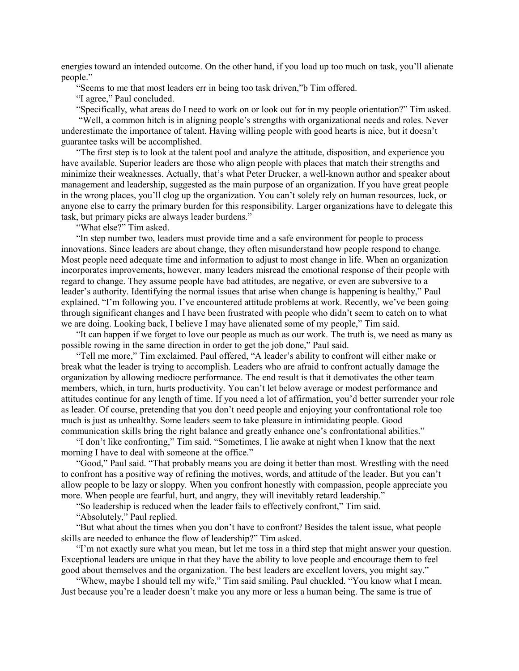energies toward an intended outcome. On the other hand, if you load up too much on task, you'll alienate people."

"Seems to me that most leaders err in being too task driven,"b Tim offered.

"I agree," Paul concluded.

"Specifically, what areas do I need to work on or look out for in my people orientation?" Tim asked. "Well, a common hitch is in aligning people's strengths with organizational needs and roles. Never underestimate the importance of talent. Having willing people with good hearts is nice, but it doesn't guarantee tasks will be accomplished.

"The first step is to look at the talent pool and analyze the attitude, disposition, and experience you have available. Superior leaders are those who align people with places that match their strengths and minimize their weaknesses. Actually, that's what Peter Drucker, a well-known author and speaker about management and leadership, suggested as the main purpose of an organization. If you have great people in the wrong places, you'll clog up the organization. You can't solely rely on human resources, luck, or anyone else to carry the primary burden for this responsibility. Larger organizations have to delegate this task, but primary picks are always leader burdens."

"What else?" Tim asked.

"In step number two, leaders must provide time and a safe environment for people to process innovations. Since leaders are about change, they often misunderstand how people respond to change. Most people need adequate time and information to adjust to most change in life. When an organization incorporates improvements, however, many leaders misread the emotional response of their people with regard to change. They assume people have bad attitudes, are negative, or even are subversive to a leader's authority. Identifying the normal issues that arise when change is happening is healthy," Paul explained. "I'm following you. I've encountered attitude problems at work. Recently, we've been going through significant changes and I have been frustrated with people who didn't seem to catch on to what we are doing. Looking back, I believe I may have alienated some of my people," Tim said.

"It can happen if we forget to love our people as much as our work. The truth is, we need as many as possible rowing in the same direction in order to get the job done," Paul said.

"Tell me more," Tim exclaimed. Paul offered, "A leader's ability to confront will either make or break what the leader is trying to accomplish. Leaders who are afraid to confront actually damage the organization by allowing mediocre performance. The end result is that it demotivates the other team members, which, in turn, hurts productivity. You can't let below average or modest performance and attitudes continue for any length of time. If you need a lot of affirmation, you'd better surrender your role as leader. Of course, pretending that you don't need people and enjoying your confrontational role too much is just as unhealthy. Some leaders seem to take pleasure in intimidating people. Good communication skills bring the right balance and greatly enhance one's confrontational abilities."

"I don't like confronting," Tim said. "Sometimes, I lie awake at night when I know that the next morning I have to deal with someone at the office."

"Good," Paul said. "That probably means you are doing it better than most. Wrestling with the need to confront has a positive way of refining the motives, words, and attitude of the leader. But you can't allow people to be lazy or sloppy. When you confront honestly with compassion, people appreciate you more. When people are fearful, hurt, and angry, they will inevitably retard leadership."

"So leadership is reduced when the leader fails to effectively confront," Tim said.

"Absolutely," Paul replied.

"But what about the times when you don't have to confront? Besides the talent issue, what people skills are needed to enhance the flow of leadership?" Tim asked.

"I'm not exactly sure what you mean, but let me toss in a third step that might answer your question. Exceptional leaders are unique in that they have the ability to love people and encourage them to feel good about themselves and the organization. The best leaders are excellent lovers, you might say."

"Whew, maybe I should tell my wife," Tim said smiling. Paul chuckled. "You know what I mean. Just because you're a leader doesn't make you any more or less a human being. The same is true of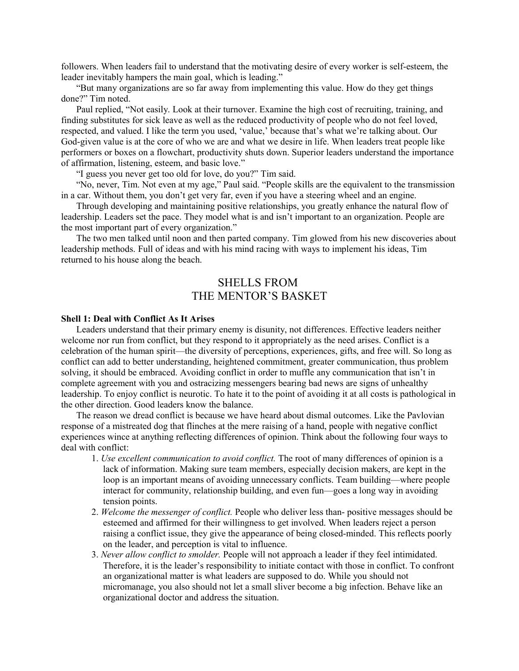followers. When leaders fail to understand that the motivating desire of every worker is self-esteem, the leader inevitably hampers the main goal, which is leading."

"But many organizations are so far away from implementing this value. How do they get things done?" Tim noted.

Paul replied, "Not easily. Look at their turnover. Examine the high cost of recruiting, training, and finding substitutes for sick leave as well as the reduced productivity of people who do not feel loved, respected, and valued. I like the term you used, 'value,' because that's what we're talking about. Our God-given value is at the core of who we are and what we desire in life. When leaders treat people like performers or boxes on a flowchart, productivity shuts down. Superior leaders understand the importance of affirmation, listening, esteem, and basic love."

"I guess you never get too old for love, do you?" Tim said.

"No, never, Tim. Not even at my age," Paul said. "People skills are the equivalent to the transmission in a car. Without them, you don't get very far, even if you have a steering wheel and an engine.

Through developing and maintaining positive relationships, you greatly enhance the natural flow of leadership. Leaders set the pace. They model what is and isn't important to an organization. People are the most important part of every organization."

The two men talked until noon and then parted company. Tim glowed from his new discoveries about leadership methods. Full of ideas and with his mind racing with ways to implement his ideas, Tim returned to his house along the beach.

# SHELLS FROM THE MENTOR'S BASKET

#### **Shell 1: Deal with Conflict As It Arises**

Leaders understand that their primary enemy is disunity, not differences. Effective leaders neither welcome nor run from conflict, but they respond to it appropriately as the need arises. Conflict is a celebration of the human spirit—the diversity of perceptions, experiences, gifts, and free will. So long as conflict can add to better understanding, heightened commitment, greater communication, thus problem solving, it should be embraced. Avoiding conflict in order to muffle any communication that isn't in complete agreement with you and ostracizing messengers bearing bad news are signs of unhealthy leadership. To enjoy conflict is neurotic. To hate it to the point of avoiding it at all costs is pathological in the other direction. Good leaders know the balance.

The reason we dread conflict is because we have heard about dismal outcomes. Like the Pavlovian response of a mistreated dog that flinches at the mere raising of a hand, people with negative conflict experiences wince at anything reflecting differences of opinion. Think about the following four ways to deal with conflict:

- 1. *Use excellent communication to avoid conflict.* The root of many differences of opinion is a lack of information. Making sure team members, especially decision makers, are kept in the loop is an important means of avoiding unnecessary conflicts. Team building—where people interact for community, relationship building, and even fun—goes a long way in avoiding tension points.
- 2. *Welcome the messenger of conflict.* People who deliver less than- positive messages should be esteemed and affirmed for their willingness to get involved. When leaders reject a person raising a conflict issue, they give the appearance of being closed-minded. This reflects poorly on the leader, and perception is vital to influence.
- 3. *Never allow conflict to smolder.* People will not approach a leader if they feel intimidated. Therefore, it is the leader's responsibility to initiate contact with those in conflict. To confront an organizational matter is what leaders are supposed to do. While you should not micromanage, you also should not let a small sliver become a big infection. Behave like an organizational doctor and address the situation.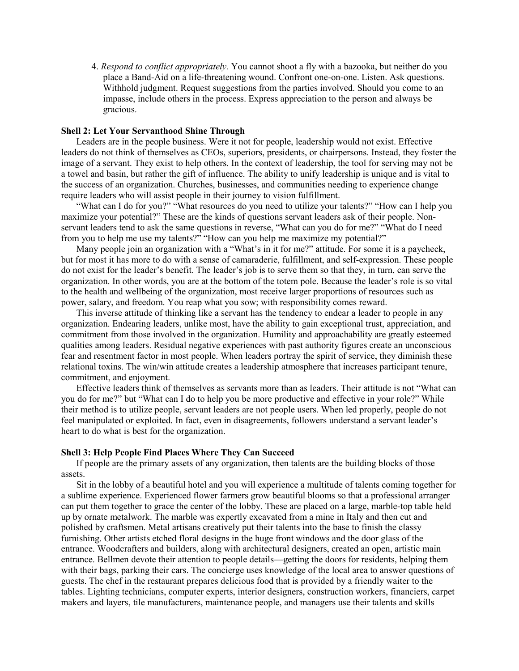4. *Respond to conflict appropriately.* You cannot shoot a fly with a bazooka, but neither do you place a Band-Aid on a life-threatening wound. Confront one-on-one. Listen. Ask questions. Withhold judgment. Request suggestions from the parties involved. Should you come to an impasse, include others in the process. Express appreciation to the person and always be gracious.

# **Shell 2: Let Your Servanthood Shine Through**

Leaders are in the people business. Were it not for people, leadership would not exist. Effective leaders do not think of themselves as CEOs, superiors, presidents, or chairpersons. Instead, they foster the image of a servant. They exist to help others. In the context of leadership, the tool for serving may not be a towel and basin, but rather the gift of influence. The ability to unify leadership is unique and is vital to the success of an organization. Churches, businesses, and communities needing to experience change require leaders who will assist people in their journey to vision fulfillment.

"What can I do for you?" "What resources do you need to utilize your talents?" "How can I help you maximize your potential?" These are the kinds of questions servant leaders ask of their people. Nonservant leaders tend to ask the same questions in reverse, "What can you do for me?" "What do I need from you to help me use my talents?" "How can you help me maximize my potential?"

Many people join an organization with a "What's in it for me?" attitude. For some it is a paycheck, but for most it has more to do with a sense of camaraderie, fulfillment, and self-expression. These people do not exist for the leader's benefit. The leader's job is to serve them so that they, in turn, can serve the organization. In other words, you are at the bottom of the totem pole. Because the leader's role is so vital to the health and wellbeing of the organization, most receive larger proportions of resources such as power, salary, and freedom. You reap what you sow; with responsibility comes reward.

This inverse attitude of thinking like a servant has the tendency to endear a leader to people in any organization. Endearing leaders, unlike most, have the ability to gain exceptional trust, appreciation, and commitment from those involved in the organization. Humility and approachability are greatly esteemed qualities among leaders. Residual negative experiences with past authority figures create an unconscious fear and resentment factor in most people. When leaders portray the spirit of service, they diminish these relational toxins. The win/win attitude creates a leadership atmosphere that increases participant tenure, commitment, and enjoyment.

Effective leaders think of themselves as servants more than as leaders. Their attitude is not "What can you do for me?" but "What can I do to help you be more productive and effective in your role?" While their method is to utilize people, servant leaders are not people users. When led properly, people do not feel manipulated or exploited. In fact, even in disagreements, followers understand a servant leader's heart to do what is best for the organization.

# **Shell 3: Help People Find Places Where They Can Succeed**

If people are the primary assets of any organization, then talents are the building blocks of those assets.

Sit in the lobby of a beautiful hotel and you will experience a multitude of talents coming together for a sublime experience. Experienced flower farmers grow beautiful blooms so that a professional arranger can put them together to grace the center of the lobby. These are placed on a large, marble-top table held up by ornate metalwork. The marble was expertly excavated from a mine in Italy and then cut and polished by craftsmen. Metal artisans creatively put their talents into the base to finish the classy furnishing. Other artists etched floral designs in the huge front windows and the door glass of the entrance. Woodcrafters and builders, along with architectural designers, created an open, artistic main entrance. Bellmen devote their attention to people details—getting the doors for residents, helping them with their bags, parking their cars. The concierge uses knowledge of the local area to answer questions of guests. The chef in the restaurant prepares delicious food that is provided by a friendly waiter to the tables. Lighting technicians, computer experts, interior designers, construction workers, financiers, carpet makers and layers, tile manufacturers, maintenance people, and managers use their talents and skills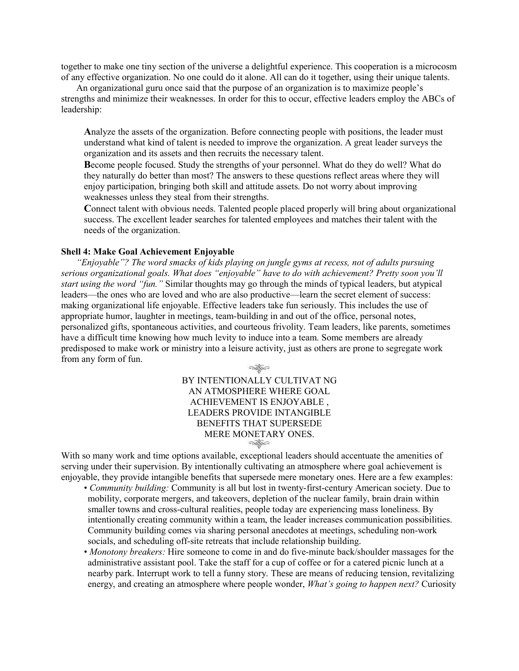together to make one tiny section of the universe a delightful experience. This cooperation is a microcosm of any effective organization. No one could do it alone. All can do it together, using their unique talents.

An organizational guru once said that the purpose of an organization is to maximize people's strengths and minimize their weaknesses. In order for this to occur, effective leaders employ the ABCs of leadership:

**A**nalyze the assets of the organization. Before connecting people with positions, the leader must understand what kind of talent is needed to improve the organization. A great leader surveys the organization and its assets and then recruits the necessary talent.

**B**ecome people focused. Study the strengths of your personnel. What do they do well? What do they naturally do better than most? The answers to these questions reflect areas where they will enjoy participation, bringing both skill and attitude assets. Do not worry about improving weaknesses unless they steal from their strengths.

**C**onnect talent with obvious needs. Talented people placed properly will bring about organizational success. The excellent leader searches for talented employees and matches their talent with the needs of the organization.

# **Shell 4: Make Goal Achievement Enjoyable**

*"Enjoyable"? The word smacks of kids playing on jungle gyms at recess, not of adults pursuing serious organizational goals. What does "enjoyable" have to do with achievement? Pretty soon you'll start using the word "fun."* Similar thoughts may go through the minds of typical leaders, but atypical leaders—the ones who are loved and who are also productive—learn the secret element of success: making organizational life enjoyable. Effective leaders take fun seriously. This includes the use of appropriate humor, laughter in meetings, team-building in and out of the office, personal notes, personalized gifts, spontaneous activities, and courteous frivolity. Team leaders, like parents, sometimes have a difficult time knowing how much levity to induce into a team. Some members are already predisposed to make work or ministry into a leisure activity, just as others are prone to segregate work from any form of fun. COORGO

BY INTENTIONALLY CULTIVAT NG AN ATMOSPHERE WHERE GOAL ACHIEVEMENT IS ENJOYABLE , LEADERS PROVIDE INTANGIBLE BENEFITS THAT SUPERSEDE MERE MONETARY ONES.

**BOOT** 

With so many work and time options available, exceptional leaders should accentuate the amenities of serving under their supervision. By intentionally cultivating an atmosphere where goal achievement is enjoyable, they provide intangible benefits that supersede mere monetary ones. Here are a few examples:

- *Community building:* Community is all but lost in twenty-first-century American society. Due to mobility, corporate mergers, and takeovers, depletion of the nuclear family, brain drain within smaller towns and cross-cultural realities, people today are experiencing mass loneliness. By intentionally creating community within a team, the leader increases communication possibilities. Community building comes via sharing personal anecdotes at meetings, scheduling non-work socials, and scheduling off-site retreats that include relationship building.
- *Monotony breakers:* Hire someone to come in and do five-minute back/shoulder massages for the administrative assistant pool. Take the staff for a cup of coffee or for a catered picnic lunch at a nearby park. Interrupt work to tell a funny story. These are means of reducing tension, revitalizing energy, and creating an atmosphere where people wonder, *What's going to happen next?* Curiosity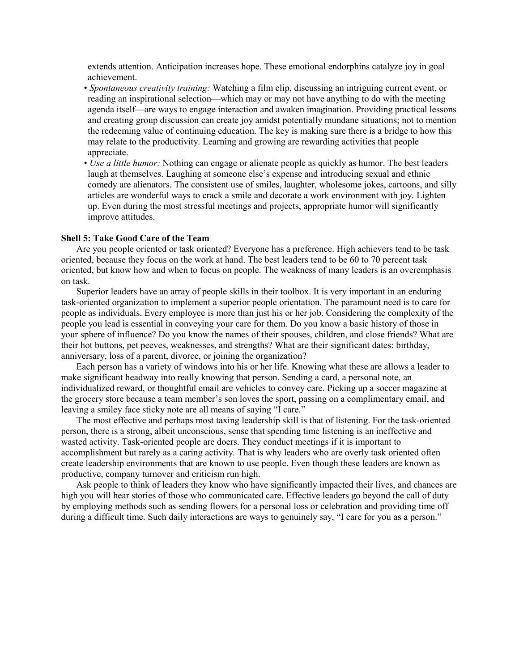extends attention. Anticipation increases hope. These emotional endorphins catalyze joy in goal achievement.

- *Spontaneous creativity training:* Watching a film clip, discussing an intriguing current event, or reading an inspirational selection—which may or may not have anything to do with the meeting agenda itself—are ways to engage interaction and awaken imagination. Providing practical lessons and creating group discussion can create joy amidst potentially mundane situations; not to mention the redeeming value of continuing education. The key is making sure there is a bridge to how this may relate to the productivity. Learning and growing are rewarding activities that people appreciate.
- *Use a little humor:* Nothing can engage or alienate people as quickly as humor. The best leaders laugh at themselves. Laughing at someone else's expense and introducing sexual and ethnic comedy are alienators. The consistent use of smiles, laughter, wholesome jokes, cartoons, and silly articles are wonderful ways to crack a smile and decorate a work environment with joy. Lighten up. Even during the most stressful meetings and projects, appropriate humor will significantly improve attitudes.

# **Shell 5: Take Good Care of the Team**

Are you people oriented or task oriented? Everyone has a preference. High achievers tend to be task oriented, because they focus on the work at hand. The best leaders tend to be 60 to 70 percent task oriented, but know how and when to focus on people. The weakness of many leaders is an overemphasis on task.

Superior leaders have an array of people skills in their toolbox. It is very important in an enduring task-oriented organization to implement a superior people orientation. The paramount need is to care for people as individuals. Every employee is more than just his or her job. Considering the complexity of the people you lead is essential in conveying your care for them. Do you know a basic history of those in your sphere of influence? Do you know the names of their spouses, children, and close friends? What are their hot buttons, pet peeves, weaknesses, and strengths? What are their significant dates: birthday, anniversary, loss of a parent, divorce, or joining the organization?

Each person has a variety of windows into his or her life. Knowing what these are allows a leader to make significant headway into really knowing that person. Sending a card, a personal note, an individualized reward, or thoughtful email are vehicles to convey care. Picking up a soccer magazine at the grocery store because a team member's son loves the sport, passing on a complimentary email, and leaving a smiley face sticky note are all means of saying "I care."

The most effective and perhaps most taxing leadership skill is that of listening. For the task-oriented person, there is a strong, albeit unconscious, sense that spending time listening is an ineffective and wasted activity. Task-oriented people are doers. They conduct meetings if it is important to accomplishment but rarely as a caring activity. That is why leaders who are overly task oriented often create leadership environments that are known to use people. Even though these leaders are known as productive, company turnover and criticism run high.

Ask people to think of leaders they know who have significantly impacted their lives, and chances are high you will hear stories of those who communicated care. Effective leaders go beyond the call of duty by employing methods such as sending flowers for a personal loss or celebration and providing time off during a difficult time. Such daily interactions are ways to genuinely say, "I care for you as a person."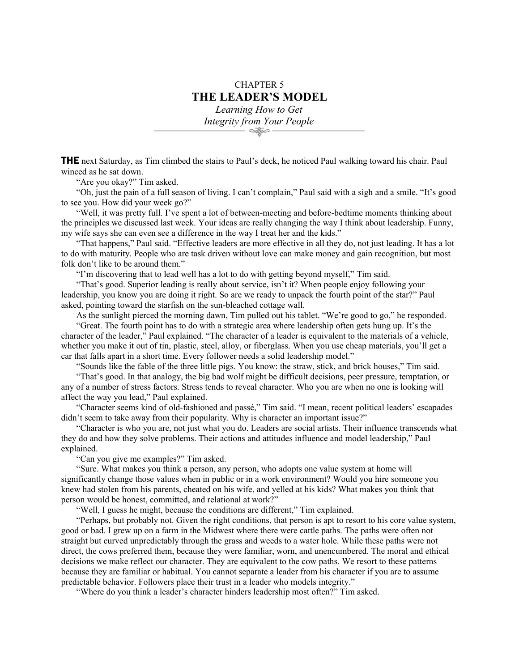# CHAPTER 5 **THE LEADER'S MODEL**

*Learning How to Get Integrity from Your People*

<span id="page-30-0"></span>**THE** next Saturday, as Tim climbed the stairs to Paul's deck, he noticed Paul walking toward his chair. Paul winced as he sat down.

"Are you okay?" Tim asked.

"Oh, just the pain of a full season of living. I can't complain," Paul said with a sigh and a smile. "It's good to see you. How did your week go?"

"Well, it was pretty full. I've spent a lot of between-meeting and before-bedtime moments thinking about the principles we discussed last week. Your ideas are really changing the way I think about leadership. Funny, my wife says she can even see a difference in the way I treat her and the kids."

"That happens," Paul said. "Effective leaders are more effective in all they do, not just leading. It has a lot to do with maturity. People who are task driven without love can make money and gain recognition, but most folk don't like to be around them."

"I'm discovering that to lead well has a lot to do with getting beyond myself," Tim said.

"That's good. Superior leading is really about service, isn't it? When people enjoy following your leadership, you know you are doing it right. So are we ready to unpack the fourth point of the star?" Paul asked, pointing toward the starfish on the sun-bleached cottage wall.

As the sunlight pierced the morning dawn, Tim pulled out his tablet. "We're good to go," he responded.

"Great. The fourth point has to do with a strategic area where leadership often gets hung up. It's the character of the leader," Paul explained. "The character of a leader is equivalent to the materials of a vehicle, whether you make it out of tin, plastic, steel, alloy, or fiberglass. When you use cheap materials, you'll get a car that falls apart in a short time. Every follower needs a solid leadership model."

"Sounds like the fable of the three little pigs. You know: the straw, stick, and brick houses," Tim said.

"That's good. In that analogy, the big bad wolf might be difficult decisions, peer pressure, temptation, or any of a number of stress factors. Stress tends to reveal character. Who you are when no one is looking will affect the way you lead," Paul explained.

"Character seems kind of old-fashioned and passé," Tim said. "I mean, recent political leaders' escapades didn't seem to take away from their popularity. Why is character an important issue?"

"Character is who you are, not just what you do. Leaders are social artists. Their influence transcends what they do and how they solve problems. Their actions and attitudes influence and model leadership," Paul explained.

"Can you give me examples?" Tim asked.

"Sure. What makes you think a person, any person, who adopts one value system at home will significantly change those values when in public or in a work environment? Would you hire someone you knew had stolen from his parents, cheated on his wife, and yelled at his kids? What makes you think that person would be honest, committed, and relational at work?"

"Well, I guess he might, because the conditions are different," Tim explained.

"Perhaps, but probably not. Given the right conditions, that person is apt to resort to his core value system, good or bad. I grew up on a farm in the Midwest where there were cattle paths. The paths were often not straight but curved unpredictably through the grass and weeds to a water hole. While these paths were not direct, the cows preferred them, because they were familiar, worn, and unencumbered. The moral and ethical decisions we make reflect our character. They are equivalent to the cow paths. We resort to these patterns because they are familiar or habitual. You cannot separate a leader from his character if you are to assume predictable behavior. Followers place their trust in a leader who models integrity."

"Where do you think a leader's character hinders leadership most often?" Tim asked.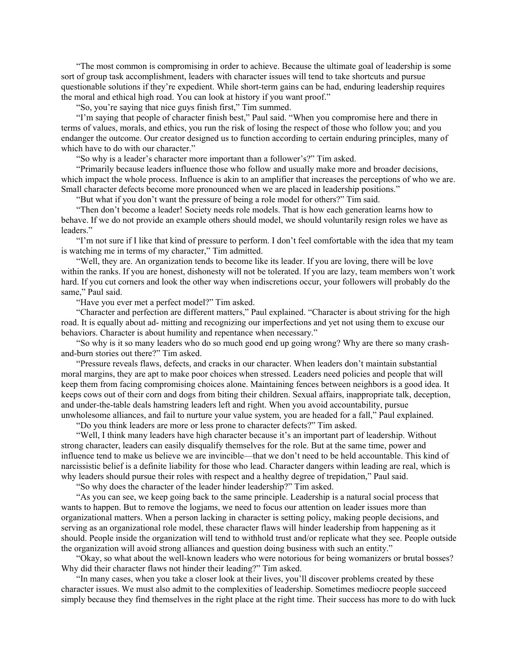"The most common is compromising in order to achieve. Because the ultimate goal of leadership is some sort of group task accomplishment, leaders with character issues will tend to take shortcuts and pursue questionable solutions if they're expedient. While short-term gains can be had, enduring leadership requires the moral and ethical high road. You can look at history if you want proof."

"So, you're saying that nice guys finish first," Tim summed.

"I'm saying that people of character finish best," Paul said. "When you compromise here and there in terms of values, morals, and ethics, you run the risk of losing the respect of those who follow you; and you endanger the outcome. Our creator designed us to function according to certain enduring principles, many of which have to do with our character."

"So why is a leader's character more important than a follower's?" Tim asked.

"Primarily because leaders influence those who follow and usually make more and broader decisions, which impact the whole process. Influence is akin to an amplifier that increases the perceptions of who we are. Small character defects become more pronounced when we are placed in leadership positions."

"But what if you don't want the pressure of being a role model for others?" Tim said.

"Then don't become a leader! Society needs role models. That is how each generation learns how to behave. If we do not provide an example others should model, we should voluntarily resign roles we have as leaders."

"I'm not sure if I like that kind of pressure to perform. I don't feel comfortable with the idea that my team is watching me in terms of my character," Tim admitted.

"Well, they are. An organization tends to become like its leader. If you are loving, there will be love within the ranks. If you are honest, dishonesty will not be tolerated. If you are lazy, team members won't work hard. If you cut corners and look the other way when indiscretions occur, your followers will probably do the same," Paul said.

"Have you ever met a perfect model?" Tim asked.

"Character and perfection are different matters," Paul explained. "Character is about striving for the high road. It is equally about ad- mitting and recognizing our imperfections and yet not using them to excuse our behaviors. Character is about humility and repentance when necessary."

"So why is it so many leaders who do so much good end up going wrong? Why are there so many crashand-burn stories out there?" Tim asked.

"Pressure reveals flaws, defects, and cracks in our character. When leaders don't maintain substantial moral margins, they are apt to make poor choices when stressed. Leaders need policies and people that will keep them from facing compromising choices alone. Maintaining fences between neighbors is a good idea. It keeps cows out of their corn and dogs from biting their children. Sexual affairs, inappropriate talk, deception, and under-the-table deals hamstring leaders left and right. When you avoid accountability, pursue unwholesome alliances, and fail to nurture your value system, you are headed for a fall," Paul explained.

"Do you think leaders are more or less prone to character defects?" Tim asked.

"Well, I think many leaders have high character because it's an important part of leadership. Without strong character, leaders can easily disqualify themselves for the role. But at the same time, power and influence tend to make us believe we are invincible—that we don't need to be held accountable. This kind of narcissistic belief is a definite liability for those who lead. Character dangers within leading are real, which is why leaders should pursue their roles with respect and a healthy degree of trepidation," Paul said.

"So why does the character of the leader hinder leadership?" Tim asked.

"As you can see, we keep going back to the same principle. Leadership is a natural social process that wants to happen. But to remove the logjams, we need to focus our attention on leader issues more than organizational matters. When a person lacking in character is setting policy, making people decisions, and serving as an organizational role model, these character flaws will hinder leadership from happening as it should. People inside the organization will tend to withhold trust and/or replicate what they see. People outside the organization will avoid strong alliances and question doing business with such an entity."

"Okay, so what about the well-known leaders who were notorious for being womanizers or brutal bosses? Why did their character flaws not hinder their leading?" Tim asked.

"In many cases, when you take a closer look at their lives, you'll discover problems created by these character issues. We must also admit to the complexities of leadership. Sometimes mediocre people succeed simply because they find themselves in the right place at the right time. Their success has more to do with luck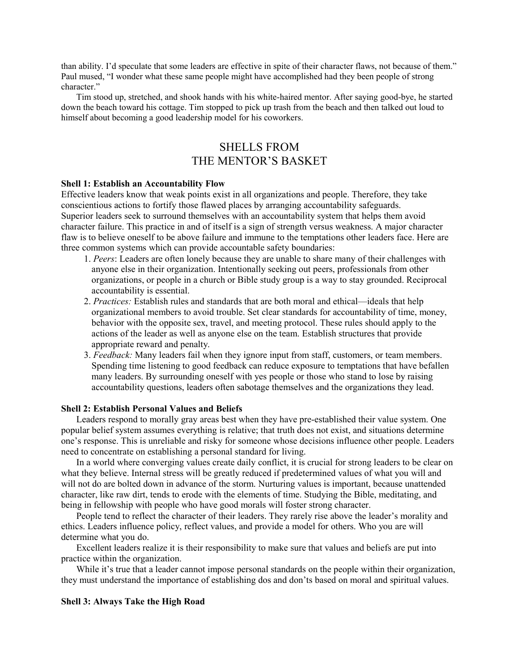than ability. I'd speculate that some leaders are effective in spite of their character flaws, not because of them." Paul mused, "I wonder what these same people might have accomplished had they been people of strong character."

Tim stood up, stretched, and shook hands with his white-haired mentor. After saying good-bye, he started down the beach toward his cottage. Tim stopped to pick up trash from the beach and then talked out loud to himself about becoming a good leadership model for his coworkers.

# SHELLS FROM THE MENTOR'S BASKET

#### **Shell 1: Establish an Accountability Flow**

Effective leaders know that weak points exist in all organizations and people. Therefore, they take conscientious actions to fortify those flawed places by arranging accountability safeguards. Superior leaders seek to surround themselves with an accountability system that helps them avoid character failure. This practice in and of itself is a sign of strength versus weakness. A major character flaw is to believe oneself to be above failure and immune to the temptations other leaders face. Here are three common systems which can provide accountable safety boundaries:

- 1. *Peers*: Leaders are often lonely because they are unable to share many of their challenges with anyone else in their organization. Intentionally seeking out peers, professionals from other organizations, or people in a church or Bible study group is a way to stay grounded. Reciprocal accountability is essential.
- 2. *Practices:* Establish rules and standards that are both moral and ethical—ideals that help organizational members to avoid trouble. Set clear standards for accountability of time, money, behavior with the opposite sex, travel, and meeting protocol. These rules should apply to the actions of the leader as well as anyone else on the team. Establish structures that provide appropriate reward and penalty.
- 3. *Feedback:* Many leaders fail when they ignore input from staff, customers, or team members. Spending time listening to good feedback can reduce exposure to temptations that have befallen many leaders. By surrounding oneself with yes people or those who stand to lose by raising accountability questions, leaders often sabotage themselves and the organizations they lead.

## **Shell 2: Establish Personal Values and Beliefs**

Leaders respond to morally gray areas best when they have pre-established their value system. One popular belief system assumes everything is relative; that truth does not exist, and situations determine one's response. This is unreliable and risky for someone whose decisions influence other people. Leaders need to concentrate on establishing a personal standard for living.

In a world where converging values create daily conflict, it is crucial for strong leaders to be clear on what they believe. Internal stress will be greatly reduced if predetermined values of what you will and will not do are bolted down in advance of the storm. Nurturing values is important, because unattended character, like raw dirt, tends to erode with the elements of time. Studying the Bible, meditating, and being in fellowship with people who have good morals will foster strong character.

People tend to reflect the character of their leaders. They rarely rise above the leader's morality and ethics. Leaders influence policy, reflect values, and provide a model for others. Who you are will determine what you do.

Excellent leaders realize it is their responsibility to make sure that values and beliefs are put into practice within the organization.

While it's true that a leader cannot impose personal standards on the people within their organization, they must understand the importance of establishing dos and don'ts based on moral and spiritual values.

#### **Shell 3: Always Take the High Road**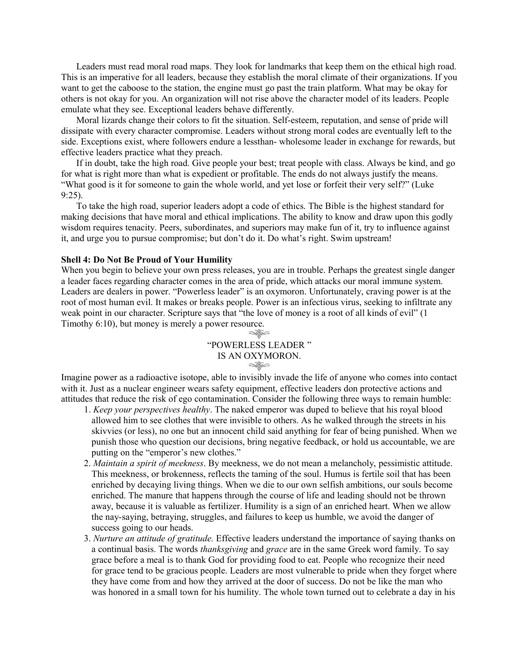Leaders must read moral road maps. They look for landmarks that keep them on the ethical high road. This is an imperative for all leaders, because they establish the moral climate of their organizations. If you want to get the caboose to the station, the engine must go past the train platform. What may be okay for others is not okay for you. An organization will not rise above the character model of its leaders. People emulate what they see. Exceptional leaders behave differently.

Moral lizards change their colors to fit the situation. Self-esteem, reputation, and sense of pride will dissipate with every character compromise. Leaders without strong moral codes are eventually left to the side. Exceptions exist, where followers endure a lessthan- wholesome leader in exchange for rewards, but effective leaders practice what they preach.

If in doubt, take the high road. Give people your best; treat people with class. Always be kind, and go for what is right more than what is expedient or profitable. The ends do not always justify the means. "What good is it for someone to gain the whole world, and yet lose or forfeit their very self?" (Luke 9:25).

To take the high road, superior leaders adopt a code of ethics. The Bible is the highest standard for making decisions that have moral and ethical implications. The ability to know and draw upon this godly wisdom requires tenacity. Peers, subordinates, and superiors may make fun of it, try to influence against it, and urge you to pursue compromise; but don't do it. Do what's right. Swim upstream!

#### **Shell 4: Do Not Be Proud of Your Humility**

When you begin to believe your own press releases, you are in trouble. Perhaps the greatest single danger a leader faces regarding character comes in the area of pride, which attacks our moral immune system. Leaders are dealers in power. "Powerless leader" is an oxymoron. Unfortunately, craving power is at the root of most human evil. It makes or breaks people. Power is an infectious virus, seeking to infiltrate any weak point in our character. Scripture says that "the love of money is a root of all kinds of evil" (1) Timothy 6:10), but money is merely a power resource.



Imagine power as a radioactive isotope, able to invisibly invade the life of anyone who comes into contact with it. Just as a nuclear engineer wears safety equipment, effective leaders don protective actions and attitudes that reduce the risk of ego contamination. Consider the following three ways to remain humble:

- 1. *Keep your perspectives healthy*. The naked emperor was duped to believe that his royal blood allowed him to see clothes that were invisible to others. As he walked through the streets in his skivvies (or less), no one but an innocent child said anything for fear of being punished. When we punish those who question our decisions, bring negative feedback, or hold us accountable, we are putting on the "emperor's new clothes."
- 2. *Maintain a spirit of meekness*. By meekness, we do not mean a melancholy, pessimistic attitude. This meekness, or brokenness, reflects the taming of the soul. Humus is fertile soil that has been enriched by decaying living things. When we die to our own selfish ambitions, our souls become enriched. The manure that happens through the course of life and leading should not be thrown away, because it is valuable as fertilizer. Humility is a sign of an enriched heart. When we allow the nay-saying, betraying, struggles, and failures to keep us humble, we avoid the danger of success going to our heads.
- 3. *Nurture an attitude of gratitude.* Effective leaders understand the importance of saying thanks on a continual basis. The words *thanksgiving* and *grace* are in the same Greek word family. To say grace before a meal is to thank God for providing food to eat. People who recognize their need for grace tend to be gracious people. Leaders are most vulnerable to pride when they forget where they have come from and how they arrived at the door of success. Do not be like the man who was honored in a small town for his humility. The whole town turned out to celebrate a day in his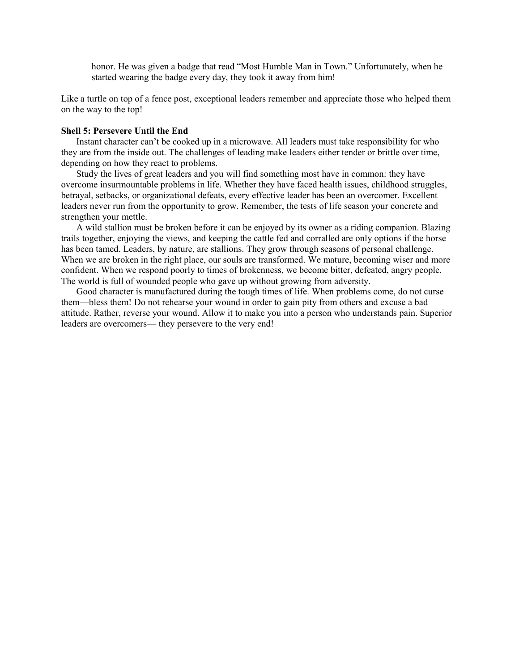honor. He was given a badge that read "Most Humble Man in Town." Unfortunately, when he started wearing the badge every day, they took it away from him!

Like a turtle on top of a fence post, exceptional leaders remember and appreciate those who helped them on the way to the top!

## **Shell 5: Persevere Until the End**

Instant character can't be cooked up in a microwave. All leaders must take responsibility for who they are from the inside out. The challenges of leading make leaders either tender or brittle over time, depending on how they react to problems.

Study the lives of great leaders and you will find something most have in common: they have overcome insurmountable problems in life. Whether they have faced health issues, childhood struggles, betrayal, setbacks, or organizational defeats, every effective leader has been an overcomer. Excellent leaders never run from the opportunity to grow. Remember, the tests of life season your concrete and strengthen your mettle.

A wild stallion must be broken before it can be enjoyed by its owner as a riding companion. Blazing trails together, enjoying the views, and keeping the cattle fed and corralled are only options if the horse has been tamed. Leaders, by nature, are stallions. They grow through seasons of personal challenge. When we are broken in the right place, our souls are transformed. We mature, becoming wiser and more confident. When we respond poorly to times of brokenness, we become bitter, defeated, angry people. The world is full of wounded people who gave up without growing from adversity.

Good character is manufactured during the tough times of life. When problems come, do not curse them—bless them! Do not rehearse your wound in order to gain pity from others and excuse a bad attitude. Rather, reverse your wound. Allow it to make you into a person who understands pain. Superior leaders are overcomers— they persevere to the very end!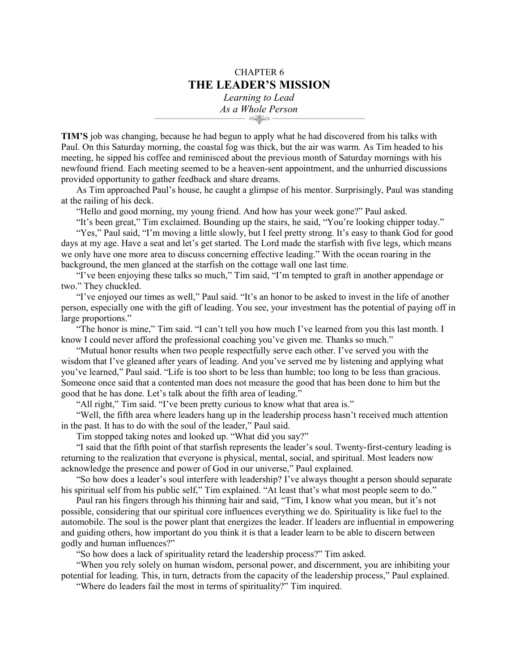# <span id="page-35-0"></span>CHAPTER 6 **THE LEADER'S MISSION** *Learning to Lead As a Whole Person*

**TIM'S** job was changing, because he had begun to apply what he had discovered from his talks with Paul. On this Saturday morning, the coastal fog was thick, but the air was warm. As Tim headed to his meeting, he sipped his coffee and reminisced about the previous month of Saturday mornings with his newfound friend. Each meeting seemed to be a heaven-sent appointment, and the unhurried discussions provided opportunity to gather feedback and share dreams.

As Tim approached Paul's house, he caught a glimpse of his mentor. Surprisingly, Paul was standing at the railing of his deck.

"Hello and good morning, my young friend. And how has your week gone?" Paul asked.

"It's been great," Tim exclaimed. Bounding up the stairs, he said, "You're looking chipper today."

"Yes," Paul said, "I'm moving a little slowly, but I feel pretty strong. It's easy to thank God for good days at my age. Have a seat and let's get started. The Lord made the starfish with five legs, which means we only have one more area to discuss concerning effective leading." With the ocean roaring in the background, the men glanced at the starfish on the cottage wall one last time.

"I've been enjoying these talks so much," Tim said, "I'm tempted to graft in another appendage or two." They chuckled.

"I've enjoyed our times as well," Paul said. "It's an honor to be asked to invest in the life of another person, especially one with the gift of leading. You see, your investment has the potential of paying off in large proportions."

"The honor is mine," Tim said. "I can't tell you how much I've learned from you this last month. I know I could never afford the professional coaching you've given me. Thanks so much."

"Mutual honor results when two people respectfully serve each other. I've served you with the wisdom that I've gleaned after years of leading. And you've served me by listening and applying what you've learned," Paul said. "Life is too short to be less than humble; too long to be less than gracious. Someone once said that a contented man does not measure the good that has been done to him but the good that he has done. Let's talk about the fifth area of leading."

"All right," Tim said. "I've been pretty curious to know what that area is."

"Well, the fifth area where leaders hang up in the leadership process hasn't received much attention in the past. It has to do with the soul of the leader," Paul said.

Tim stopped taking notes and looked up. "What did you say?"

"I said that the fifth point of that starfish represents the leader's soul. Twenty-first-century leading is returning to the realization that everyone is physical, mental, social, and spiritual. Most leaders now acknowledge the presence and power of God in our universe," Paul explained.

"So how does a leader's soul interfere with leadership? I've always thought a person should separate his spiritual self from his public self," Tim explained. "At least that's what most people seem to do."

Paul ran his fingers through his thinning hair and said, "Tim, I know what you mean, but it's not possible, considering that our spiritual core influences everything we do. Spirituality is like fuel to the automobile. The soul is the power plant that energizes the leader. If leaders are influential in empowering and guiding others, how important do you think it is that a leader learn to be able to discern between godly and human influences?"

"So how does a lack of spirituality retard the leadership process?" Tim asked.

"When you rely solely on human wisdom, personal power, and discernment, you are inhibiting your potential for leading. This, in turn, detracts from the capacity of the leadership process," Paul explained.

"Where do leaders fail the most in terms of spirituality?" Tim inquired.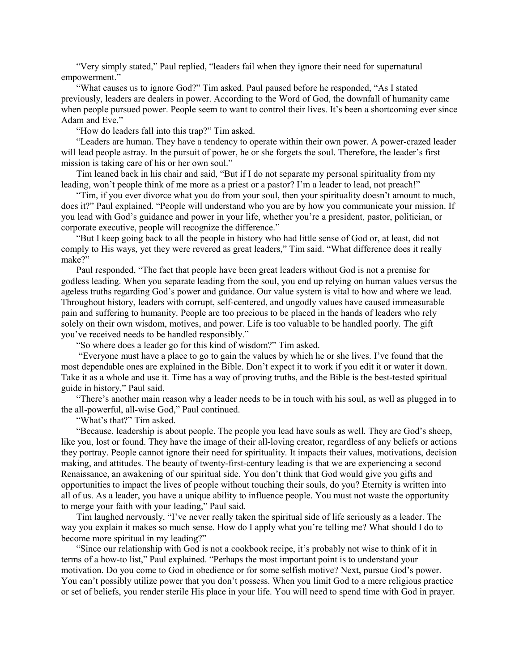"Very simply stated," Paul replied, "leaders fail when they ignore their need for supernatural empowerment."

"What causes us to ignore God?" Tim asked. Paul paused before he responded, "As I stated previously, leaders are dealers in power. According to the Word of God, the downfall of humanity came when people pursued power. People seem to want to control their lives. It's been a shortcoming ever since Adam and Eve."

"How do leaders fall into this trap?" Tim asked.

"Leaders are human. They have a tendency to operate within their own power. A power-crazed leader will lead people astray. In the pursuit of power, he or she forgets the soul. Therefore, the leader's first mission is taking care of his or her own soul."

Tim leaned back in his chair and said, "But if I do not separate my personal spirituality from my leading, won't people think of me more as a priest or a pastor? I'm a leader to lead, not preach!"

"Tim, if you ever divorce what you do from your soul, then your spirituality doesn't amount to much, does it?" Paul explained. "People will understand who you are by how you communicate your mission. If you lead with God's guidance and power in your life, whether you're a president, pastor, politician, or corporate executive, people will recognize the difference."

"But I keep going back to all the people in history who had little sense of God or, at least, did not comply to His ways, yet they were revered as great leaders," Tim said. "What difference does it really make?"

Paul responded, "The fact that people have been great leaders without God is not a premise for godless leading. When you separate leading from the soul, you end up relying on human values versus the ageless truths regarding God's power and guidance. Our value system is vital to how and where we lead. Throughout history, leaders with corrupt, self-centered, and ungodly values have caused immeasurable pain and suffering to humanity. People are too precious to be placed in the hands of leaders who rely solely on their own wisdom, motives, and power. Life is too valuable to be handled poorly. The gift you've received needs to be handled responsibly."

"So where does a leader go for this kind of wisdom?" Tim asked.

 "Everyone must have a place to go to gain the values by which he or she lives. I've found that the most dependable ones are explained in the Bible. Don't expect it to work if you edit it or water it down. Take it as a whole and use it. Time has a way of proving truths, and the Bible is the best-tested spiritual guide in history," Paul said.

"There's another main reason why a leader needs to be in touch with his soul, as well as plugged in to the all-powerful, all-wise God," Paul continued.

"What's that?" Tim asked.

"Because, leadership is about people. The people you lead have souls as well. They are God's sheep, like you, lost or found. They have the image of their all-loving creator, regardless of any beliefs or actions they portray. People cannot ignore their need for spirituality. It impacts their values, motivations, decision making, and attitudes. The beauty of twenty-first-century leading is that we are experiencing a second Renaissance, an awakening of our spiritual side. You don't think that God would give you gifts and opportunities to impact the lives of people without touching their souls, do you? Eternity is written into all of us. As a leader, you have a unique ability to influence people. You must not waste the opportunity to merge your faith with your leading," Paul said.

Tim laughed nervously, "I've never really taken the spiritual side of life seriously as a leader. The way you explain it makes so much sense. How do I apply what you're telling me? What should I do to become more spiritual in my leading?"

"Since our relationship with God is not a cookbook recipe, it's probably not wise to think of it in terms of a how-to list," Paul explained. "Perhaps the most important point is to understand your motivation. Do you come to God in obedience or for some selfish motive? Next, pursue God's power. You can't possibly utilize power that you don't possess. When you limit God to a mere religious practice or set of beliefs, you render sterile His place in your life. You will need to spend time with God in prayer.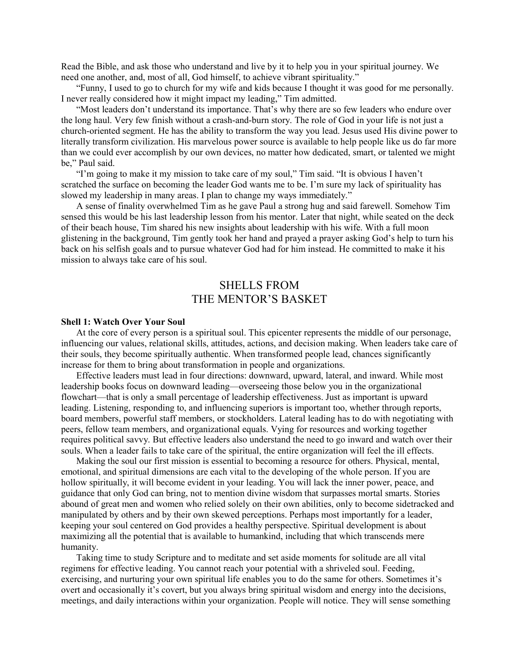Read the Bible, and ask those who understand and live by it to help you in your spiritual journey. We need one another, and, most of all, God himself, to achieve vibrant spirituality."

"Funny, I used to go to church for my wife and kids because I thought it was good for me personally. I never really considered how it might impact my leading," Tim admitted.

"Most leaders don't understand its importance. That's why there are so few leaders who endure over the long haul. Very few finish without a crash-and-burn story. The role of God in your life is not just a church-oriented segment. He has the ability to transform the way you lead. Jesus used His divine power to literally transform civilization. His marvelous power source is available to help people like us do far more than we could ever accomplish by our own devices, no matter how dedicated, smart, or talented we might be," Paul said.

"I'm going to make it my mission to take care of my soul," Tim said. "It is obvious I haven't scratched the surface on becoming the leader God wants me to be. I'm sure my lack of spirituality has slowed my leadership in many areas. I plan to change my ways immediately."

A sense of finality overwhelmed Tim as he gave Paul a strong hug and said farewell. Somehow Tim sensed this would be his last leadership lesson from his mentor. Later that night, while seated on the deck of their beach house, Tim shared his new insights about leadership with his wife. With a full moon glistening in the background, Tim gently took her hand and prayed a prayer asking God's help to turn his back on his selfish goals and to pursue whatever God had for him instead. He committed to make it his mission to always take care of his soul.

# SHELLS FROM THE MENTOR'S BASKET

#### **Shell 1: Watch Over Your Soul**

At the core of every person is a spiritual soul. This epicenter represents the middle of our personage, influencing our values, relational skills, attitudes, actions, and decision making. When leaders take care of their souls, they become spiritually authentic. When transformed people lead, chances significantly increase for them to bring about transformation in people and organizations.

Effective leaders must lead in four directions: downward, upward, lateral, and inward. While most leadership books focus on downward leading—overseeing those below you in the organizational flowchart—that is only a small percentage of leadership effectiveness. Just as important is upward leading. Listening, responding to, and influencing superiors is important too, whether through reports, board members, powerful staff members, or stockholders. Lateral leading has to do with negotiating with peers, fellow team members, and organizational equals. Vying for resources and working together requires political savvy. But effective leaders also understand the need to go inward and watch over their souls. When a leader fails to take care of the spiritual, the entire organization will feel the ill effects.

Making the soul our first mission is essential to becoming a resource for others. Physical, mental, emotional, and spiritual dimensions are each vital to the developing of the whole person. If you are hollow spiritually, it will become evident in your leading. You will lack the inner power, peace, and guidance that only God can bring, not to mention divine wisdom that surpasses mortal smarts. Stories abound of great men and women who relied solely on their own abilities, only to become sidetracked and manipulated by others and by their own skewed perceptions. Perhaps most importantly for a leader, keeping your soul centered on God provides a healthy perspective. Spiritual development is about maximizing all the potential that is available to humankind, including that which transcends mere humanity.

Taking time to study Scripture and to meditate and set aside moments for solitude are all vital regimens for effective leading. You cannot reach your potential with a shriveled soul. Feeding, exercising, and nurturing your own spiritual life enables you to do the same for others. Sometimes it's overt and occasionally it's covert, but you always bring spiritual wisdom and energy into the decisions, meetings, and daily interactions within your organization. People will notice. They will sense something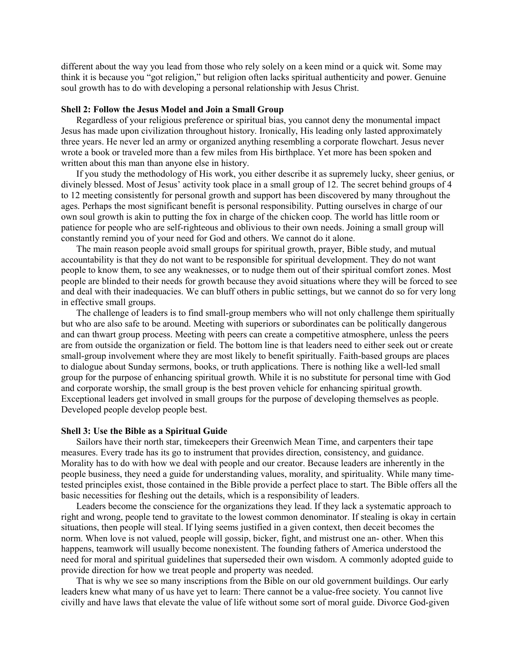different about the way you lead from those who rely solely on a keen mind or a quick wit. Some may think it is because you "got religion," but religion often lacks spiritual authenticity and power. Genuine soul growth has to do with developing a personal relationship with Jesus Christ.

# **Shell 2: Follow the Jesus Model and Join a Small Group**

Regardless of your religious preference or spiritual bias, you cannot deny the monumental impact Jesus has made upon civilization throughout history. Ironically, His leading only lasted approximately three years. He never led an army or organized anything resembling a corporate flowchart. Jesus never wrote a book or traveled more than a few miles from His birthplace. Yet more has been spoken and written about this man than anyone else in history.

If you study the methodology of His work, you either describe it as supremely lucky, sheer genius, or divinely blessed. Most of Jesus' activity took place in a small group of 12. The secret behind groups of 4 to 12 meeting consistently for personal growth and support has been discovered by many throughout the ages. Perhaps the most significant benefit is personal responsibility. Putting ourselves in charge of our own soul growth is akin to putting the fox in charge of the chicken coop. The world has little room or patience for people who are self-righteous and oblivious to their own needs. Joining a small group will constantly remind you of your need for God and others. We cannot do it alone.

The main reason people avoid small groups for spiritual growth, prayer, Bible study, and mutual accountability is that they do not want to be responsible for spiritual development. They do not want people to know them, to see any weaknesses, or to nudge them out of their spiritual comfort zones. Most people are blinded to their needs for growth because they avoid situations where they will be forced to see and deal with their inadequacies. We can bluff others in public settings, but we cannot do so for very long in effective small groups.

The challenge of leaders is to find small-group members who will not only challenge them spiritually but who are also safe to be around. Meeting with superiors or subordinates can be politically dangerous and can thwart group process. Meeting with peers can create a competitive atmosphere, unless the peers are from outside the organization or field. The bottom line is that leaders need to either seek out or create small-group involvement where they are most likely to benefit spiritually. Faith-based groups are places to dialogue about Sunday sermons, books, or truth applications. There is nothing like a well-led small group for the purpose of enhancing spiritual growth. While it is no substitute for personal time with God and corporate worship, the small group is the best proven vehicle for enhancing spiritual growth. Exceptional leaders get involved in small groups for the purpose of developing themselves as people. Developed people develop people best.

#### **Shell 3: Use the Bible as a Spiritual Guide**

Sailors have their north star, timekeepers their Greenwich Mean Time, and carpenters their tape measures. Every trade has its go to instrument that provides direction, consistency, and guidance. Morality has to do with how we deal with people and our creator. Because leaders are inherently in the people business, they need a guide for understanding values, morality, and spirituality. While many timetested principles exist, those contained in the Bible provide a perfect place to start. The Bible offers all the basic necessities for fleshing out the details, which is a responsibility of leaders.

Leaders become the conscience for the organizations they lead. If they lack a systematic approach to right and wrong, people tend to gravitate to the lowest common denominator. If stealing is okay in certain situations, then people will steal. If lying seems justified in a given context, then deceit becomes the norm. When love is not valued, people will gossip, bicker, fight, and mistrust one an- other. When this happens, teamwork will usually become nonexistent. The founding fathers of America understood the need for moral and spiritual guidelines that superseded their own wisdom. A commonly adopted guide to provide direction for how we treat people and property was needed.

That is why we see so many inscriptions from the Bible on our old government buildings. Our early leaders knew what many of us have yet to learn: There cannot be a value-free society. You cannot live civilly and have laws that elevate the value of life without some sort of moral guide. Divorce God-given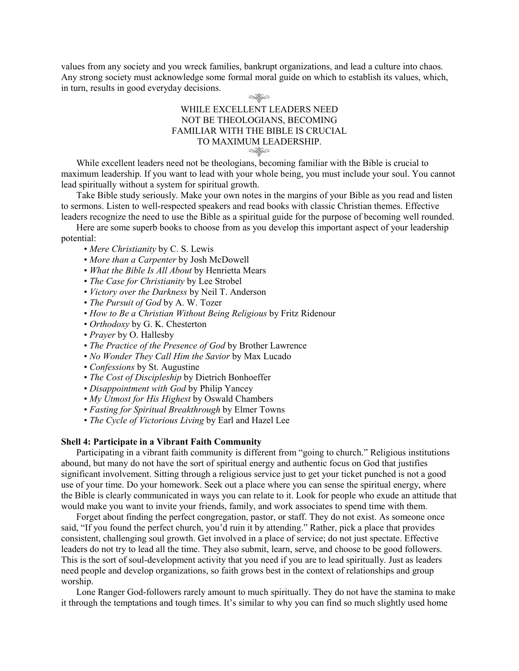values from any society and you wreck families, bankrupt organizations, and lead a culture into chaos. Any strong society must acknowledge some formal moral guide on which to establish its values, which, in turn, results in good everyday decisions.

adjos

# WHILE EXCELLENT LEADERS NEED NOT BE THEOLOGIANS, BECOMING FAMILIAR WITH THE BIBLE IS CRUCIAL TO MAXIMUM LEADERSHIP.

While excellent leaders need not be theologians, becoming familiar with the Bible is crucial to maximum leadership. If you want to lead with your whole being, you must include your soul. You cannot lead spiritually without a system for spiritual growth.

Take Bible study seriously. Make your own notes in the margins of your Bible as you read and listen to sermons. Listen to well-respected speakers and read books with classic Christian themes. Effective leaders recognize the need to use the Bible as a spiritual guide for the purpose of becoming well rounded.

Here are some superb books to choose from as you develop this important aspect of your leadership potential:

- *Mere Christianity* by C. S. Lewis
- *More than a Carpenter* by Josh McDowell
- *What the Bible Is All About* by Henrietta Mears
- *The Case for Christianity* by Lee Strobel
- *Victory over the Darkness* by Neil T. Anderson
- *The Pursuit of God* by A. W. Tozer
- *How to Be a Christian Without Being Religious* by Fritz Ridenour
- *Orthodoxy* by G. K. Chesterton
- *Prayer* by O. Hallesby
- *The Practice of the Presence of God* by Brother Lawrence
- *No Wonder They Call Him the Savior* by Max Lucado
- *Confessions* by St. Augustine
- *The Cost of Discipleship* by Dietrich Bonhoeffer
- *Disappointment with God* by Philip Yancey
- *My Utmost for His Highest* by Oswald Chambers
- *Fasting for Spiritual Breakthrough* by Elmer Towns
- • *The Cycle of Victorious Living* by Earl and Hazel Lee

## **Shell 4: Participate in a Vibrant Faith Community**

Participating in a vibrant faith community is different from "going to church." Religious institutions abound, but many do not have the sort of spiritual energy and authentic focus on God that justifies significant involvement. Sitting through a religious service just to get your ticket punched is not a good use of your time. Do your homework. Seek out a place where you can sense the spiritual energy, where the Bible is clearly communicated in ways you can relate to it. Look for people who exude an attitude that would make you want to invite your friends, family, and work associates to spend time with them.

Forget about finding the perfect congregation, pastor, or staff. They do not exist. As someone once said, "If you found the perfect church, you'd ruin it by attending." Rather, pick a place that provides consistent, challenging soul growth. Get involved in a place of service; do not just spectate. Effective leaders do not try to lead all the time. They also submit, learn, serve, and choose to be good followers. This is the sort of soul-development activity that you need if you are to lead spiritually. Just as leaders need people and develop organizations, so faith grows best in the context of relationships and group worship.

Lone Ranger God-followers rarely amount to much spiritually. They do not have the stamina to make it through the temptations and tough times. It's similar to why you can find so much slightly used home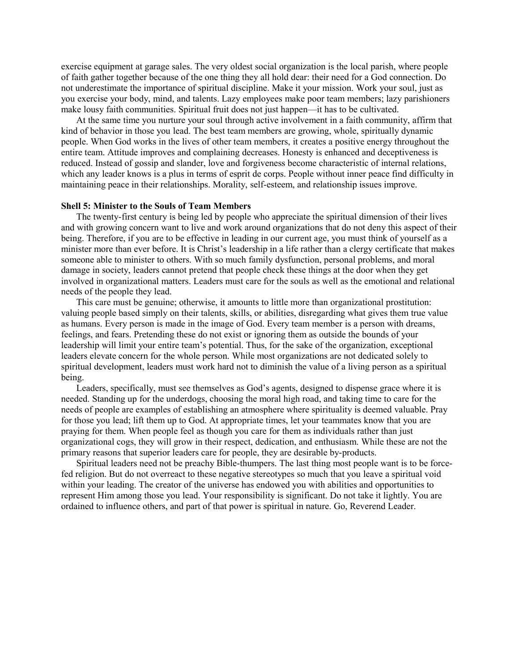exercise equipment at garage sales. The very oldest social organization is the local parish, where people of faith gather together because of the one thing they all hold dear: their need for a God connection. Do not underestimate the importance of spiritual discipline. Make it your mission. Work your soul, just as you exercise your body, mind, and talents. Lazy employees make poor team members; lazy parishioners make lousy faith communities. Spiritual fruit does not just happen—it has to be cultivated.

At the same time you nurture your soul through active involvement in a faith community, affirm that kind of behavior in those you lead. The best team members are growing, whole, spiritually dynamic people. When God works in the lives of other team members, it creates a positive energy throughout the entire team. Attitude improves and complaining decreases. Honesty is enhanced and deceptiveness is reduced. Instead of gossip and slander, love and forgiveness become characteristic of internal relations, which any leader knows is a plus in terms of esprit de corps. People without inner peace find difficulty in maintaining peace in their relationships. Morality, self-esteem, and relationship issues improve.

#### **Shell 5: Minister to the Souls of Team Members**

The twenty-first century is being led by people who appreciate the spiritual dimension of their lives and with growing concern want to live and work around organizations that do not deny this aspect of their being. Therefore, if you are to be effective in leading in our current age, you must think of yourself as a minister more than ever before. It is Christ's leadership in a life rather than a clergy certificate that makes someone able to minister to others. With so much family dysfunction, personal problems, and moral damage in society, leaders cannot pretend that people check these things at the door when they get involved in organizational matters. Leaders must care for the souls as well as the emotional and relational needs of the people they lead.

This care must be genuine; otherwise, it amounts to little more than organizational prostitution: valuing people based simply on their talents, skills, or abilities, disregarding what gives them true value as humans. Every person is made in the image of God. Every team member is a person with dreams, feelings, and fears. Pretending these do not exist or ignoring them as outside the bounds of your leadership will limit your entire team's potential. Thus, for the sake of the organization, exceptional leaders elevate concern for the whole person. While most organizations are not dedicated solely to spiritual development, leaders must work hard not to diminish the value of a living person as a spiritual being.

Leaders, specifically, must see themselves as God's agents, designed to dispense grace where it is needed. Standing up for the underdogs, choosing the moral high road, and taking time to care for the needs of people are examples of establishing an atmosphere where spirituality is deemed valuable. Pray for those you lead; lift them up to God. At appropriate times, let your teammates know that you are praying for them. When people feel as though you care for them as individuals rather than just organizational cogs, they will grow in their respect, dedication, and enthusiasm. While these are not the primary reasons that superior leaders care for people, they are desirable by-products.

Spiritual leaders need not be preachy Bible-thumpers. The last thing most people want is to be forcefed religion. But do not overreact to these negative stereotypes so much that you leave a spiritual void within your leading. The creator of the universe has endowed you with abilities and opportunities to represent Him among those you lead. Your responsibility is significant. Do not take it lightly. You are ordained to influence others, and part of that power is spiritual in nature. Go, Reverend Leader.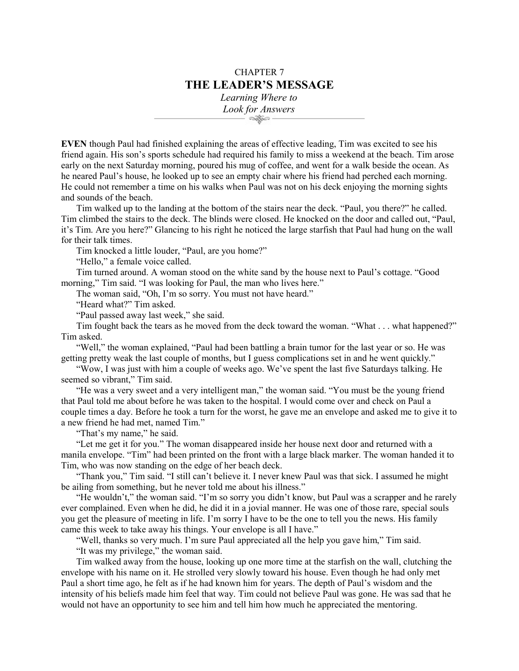# <span id="page-41-0"></span>CHAPTER 7 **THE LEADER'S MESSAGE** *Learning Where to Look for Answers*

**EVEN** though Paul had finished explaining the areas of effective leading, Tim was excited to see his friend again. His son's sports schedule had required his family to miss a weekend at the beach. Tim arose early on the next Saturday morning, poured his mug of coffee, and went for a walk beside the ocean. As he neared Paul's house, he looked up to see an empty chair where his friend had perched each morning. He could not remember a time on his walks when Paul was not on his deck enjoying the morning sights and sounds of the beach.

Tim walked up to the landing at the bottom of the stairs near the deck. "Paul, you there?" he called. Tim climbed the stairs to the deck. The blinds were closed. He knocked on the door and called out, "Paul, it's Tim. Are you here?" Glancing to his right he noticed the large starfish that Paul had hung on the wall for their talk times.

Tim knocked a little louder, "Paul, are you home?"

"Hello," a female voice called.

Tim turned around. A woman stood on the white sand by the house next to Paul's cottage. "Good morning," Tim said. "I was looking for Paul, the man who lives here."

The woman said, "Oh, I'm so sorry. You must not have heard."

"Heard what?" Tim asked.

"Paul passed away last week," she said.

Tim fought back the tears as he moved from the deck toward the woman. "What . . . what happened?" Tim asked.

"Well," the woman explained, "Paul had been battling a brain tumor for the last year or so. He was getting pretty weak the last couple of months, but I guess complications set in and he went quickly."

"Wow, I was just with him a couple of weeks ago. We've spent the last five Saturdays talking. He seemed so vibrant," Tim said.

"He was a very sweet and a very intelligent man," the woman said. "You must be the young friend that Paul told me about before he was taken to the hospital. I would come over and check on Paul a couple times a day. Before he took a turn for the worst, he gave me an envelope and asked me to give it to a new friend he had met, named Tim."

"That's my name," he said.

"Let me get it for you." The woman disappeared inside her house next door and returned with a manila envelope. "Tim" had been printed on the front with a large black marker. The woman handed it to Tim, who was now standing on the edge of her beach deck.

"Thank you," Tim said. "I still can't believe it. I never knew Paul was that sick. I assumed he might be ailing from something, but he never told me about his illness."

"He wouldn't," the woman said. "I'm so sorry you didn't know, but Paul was a scrapper and he rarely ever complained. Even when he did, he did it in a jovial manner. He was one of those rare, special souls you get the pleasure of meeting in life. I'm sorry I have to be the one to tell you the news. His family came this week to take away his things. Your envelope is all I have."

"Well, thanks so very much. I'm sure Paul appreciated all the help you gave him," Tim said.

"It was my privilege," the woman said.

Tim walked away from the house, looking up one more time at the starfish on the wall, clutching the envelope with his name on it. He strolled very slowly toward his house. Even though he had only met Paul a short time ago, he felt as if he had known him for years. The depth of Paul's wisdom and the intensity of his beliefs made him feel that way. Tim could not believe Paul was gone. He was sad that he would not have an opportunity to see him and tell him how much he appreciated the mentoring.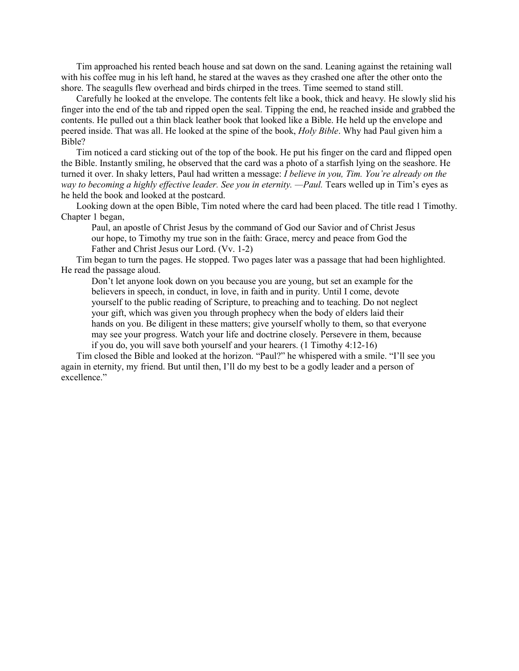Tim approached his rented beach house and sat down on the sand. Leaning against the retaining wall with his coffee mug in his left hand, he stared at the waves as they crashed one after the other onto the shore. The seagulls flew overhead and birds chirped in the trees. Time seemed to stand still.

Carefully he looked at the envelope. The contents felt like a book, thick and heavy. He slowly slid his finger into the end of the tab and ripped open the seal. Tipping the end, he reached inside and grabbed the contents. He pulled out a thin black leather book that looked like a Bible. He held up the envelope and peered inside. That was all. He looked at the spine of the book, *Holy Bible*. Why had Paul given him a Bible?

Tim noticed a card sticking out of the top of the book. He put his finger on the card and flipped open the Bible. Instantly smiling, he observed that the card was a photo of a starfish lying on the seashore. He turned it over. In shaky letters, Paul had written a message: *I believe in you, Tim. You're already on the way to becoming a highly effective leader. See you in eternity. —Paul.* Tears welled up in Tim's eyes as he held the book and looked at the postcard.

Looking down at the open Bible, Tim noted where the card had been placed. The title read 1 Timothy. Chapter 1 began,

Paul, an apostle of Christ Jesus by the command of God our Savior and of Christ Jesus our hope, to Timothy my true son in the faith: Grace, mercy and peace from God the Father and Christ Jesus our Lord. (Vv. 1-2)

Tim began to turn the pages. He stopped. Two pages later was a passage that had been highlighted. He read the passage aloud.

Don't let anyone look down on you because you are young, but set an example for the believers in speech, in conduct, in love, in faith and in purity. Until I come, devote yourself to the public reading of Scripture, to preaching and to teaching. Do not neglect your gift, which was given you through prophecy when the body of elders laid their hands on you. Be diligent in these matters; give yourself wholly to them, so that everyone may see your progress. Watch your life and doctrine closely. Persevere in them, because if you do, you will save both yourself and your hearers. (1 Timothy 4:12-16)

Tim closed the Bible and looked at the horizon. "Paul?" he whispered with a smile. "I'll see you again in eternity, my friend. But until then, I'll do my best to be a godly leader and a person of excellence."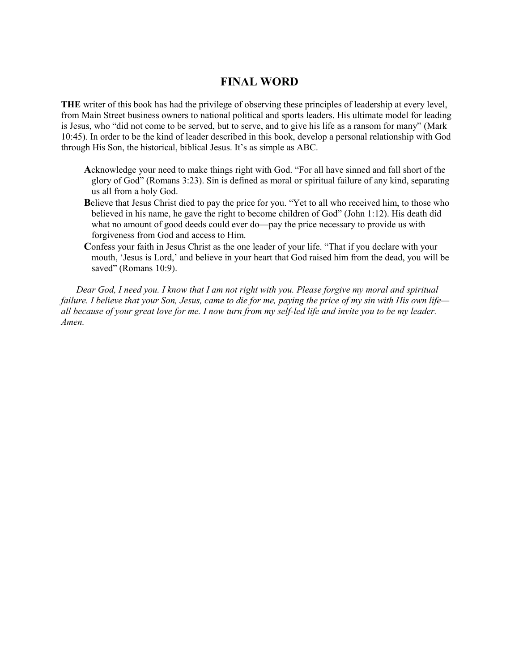# **FINAL WORD**

**THE** writer of this book has had the privilege of observing these principles of leadership at every level, from Main Street business owners to national political and sports leaders. His ultimate model for leading is Jesus, who "did not come to be served, but to serve, and to give his life as a ransom for many" (Mark 10:45). In order to be the kind of leader described in this book, develop a personal relationship with God through His Son, the historical, biblical Jesus. It's as simple as ABC.

- **A**cknowledge your need to make things right with God. "For all have sinned and fall short of the glory of God" (Romans 3:23). Sin is defined as moral or spiritual failure of any kind, separating us all from a holy God.
- **B**elieve that Jesus Christ died to pay the price for you. "Yet to all who received him, to those who believed in his name, he gave the right to become children of God" (John 1:12). His death did what no amount of good deeds could ever do—pay the price necessary to provide us with forgiveness from God and access to Him.
- **C**onfess your faith in Jesus Christ as the one leader of your life. "That if you declare with your mouth, 'Jesus is Lord,' and believe in your heart that God raised him from the dead, you will be saved" (Romans 10:9).

*Dear God, I need you. I know that I am not right with you. Please forgive my moral and spiritual failure. I believe that your Son, Jesus, came to die for me, paying the price of my sin with His own life all because of your great love for me. I now turn from my self-led life and invite you to be my leader. Amen.*